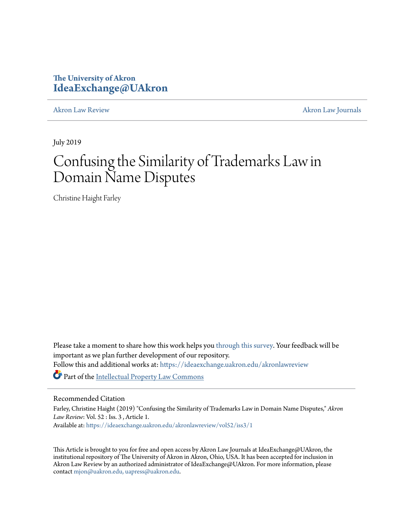# **The University of Akron [IdeaExchange@UAkron](https://ideaexchange.uakron.edu?utm_source=ideaexchange.uakron.edu%2Fakronlawreview%2Fvol52%2Fiss3%2F1&utm_medium=PDF&utm_campaign=PDFCoverPages)**

[Akron Law Review](https://ideaexchange.uakron.edu/akronlawreview?utm_source=ideaexchange.uakron.edu%2Fakronlawreview%2Fvol52%2Fiss3%2F1&utm_medium=PDF&utm_campaign=PDFCoverPages) [Akron Law Journals](https://ideaexchange.uakron.edu/akronlawjournals?utm_source=ideaexchange.uakron.edu%2Fakronlawreview%2Fvol52%2Fiss3%2F1&utm_medium=PDF&utm_campaign=PDFCoverPages)

July 2019

# Confusing the Similarity of Trademarks Law in Domain Name Disputes

Christine Haight Farley

Please take a moment to share how this work helps you [through this survey.](http://survey.az1.qualtrics.com/SE/?SID=SV_eEVH54oiCbOw05f&URL=https://ideaexchange.uakron.edu/akronlawreview/vol52/iss3/1) Your feedback will be important as we plan further development of our repository. Follow this and additional works at: [https://ideaexchange.uakron.edu/akronlawreview](https://ideaexchange.uakron.edu/akronlawreview?utm_source=ideaexchange.uakron.edu%2Fakronlawreview%2Fvol52%2Fiss3%2F1&utm_medium=PDF&utm_campaign=PDFCoverPages) Part of the [Intellectual Property Law Commons](http://network.bepress.com/hgg/discipline/896?utm_source=ideaexchange.uakron.edu%2Fakronlawreview%2Fvol52%2Fiss3%2F1&utm_medium=PDF&utm_campaign=PDFCoverPages)

# Recommended Citation

Farley, Christine Haight (2019) "Confusing the Similarity of Trademarks Law in Domain Name Disputes," *Akron Law Review*: Vol. 52 : Iss. 3 , Article 1. Available at: [https://ideaexchange.uakron.edu/akronlawreview/vol52/iss3/1](https://ideaexchange.uakron.edu/akronlawreview/vol52/iss3/1?utm_source=ideaexchange.uakron.edu%2Fakronlawreview%2Fvol52%2Fiss3%2F1&utm_medium=PDF&utm_campaign=PDFCoverPages)

This Article is brought to you for free and open access by Akron Law Journals at IdeaExchange@UAkron, the institutional repository of The University of Akron in Akron, Ohio, USA. It has been accepted for inclusion in Akron Law Review by an authorized administrator of IdeaExchange@UAkron. For more information, please contact [mjon@uakron.edu, uapress@uakron.edu.](mailto:mjon@uakron.edu,%20uapress@uakron.edu)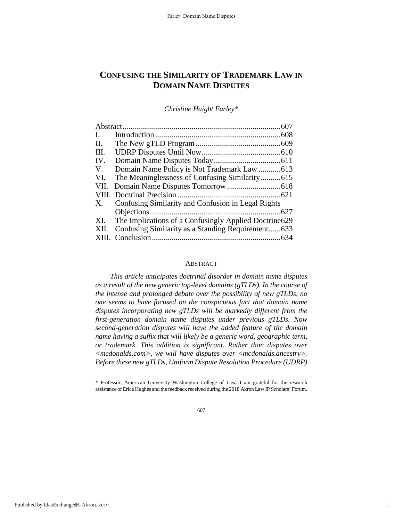# **CONFUSING THE SIMILARITY OF TRADEMARK LAW IN DOMAIN NAME DISPUTES**

*Christine Haight Farley[\\*](#page-1-0)*

| Ι.      |                                                        |      |
|---------|--------------------------------------------------------|------|
| $\Pi$ . |                                                        |      |
| HI.     |                                                        |      |
| IV.     |                                                        |      |
| V.      | Domain Name Policy is Not Trademark Law  613           |      |
| VI.     | The Meaninglessness of Confusing Similarity615         |      |
| VII.    |                                                        |      |
|         |                                                        |      |
| X.      | Confusing Similarity and Confusion in Legal Rights     |      |
|         |                                                        | .627 |
| XI.     | The Implications of a Confusingly Applied Doctrine 629 |      |
| XII.    | Confusing Similarity as a Standing Requirement633      |      |
|         |                                                        |      |

# ABSTRACT

*This article anticipates doctrinal disorder in domain name disputes as a result of the new generic top-level domains (gTLDs). In the course of the intense and prolonged debate over the possibility of new gTLDs, no one seems to have focused on the conspicuous fact that domain name disputes incorporating new gTLDs will be markedly different from the first-generation domain name disputes under previous gTLDs. Now second-generation disputes will have the added feature of the domain name having a suffix that will likely be a generic word, geographic term, or trademark. This addition is significant. Rather than disputes over <mcdonalds.com>, we will have disputes over <mcdonalds.ancestry>. Before these new gTLDs, Uniform Dispute Resolution Procedure (UDRP)* 

1

<span id="page-1-0"></span><sup>\*</sup> Professor, American University Washington College of Law. I am grateful for the research assistance of Erica Hughes and the feedback received during the 2018 Akron Law IP Scholars' Forum.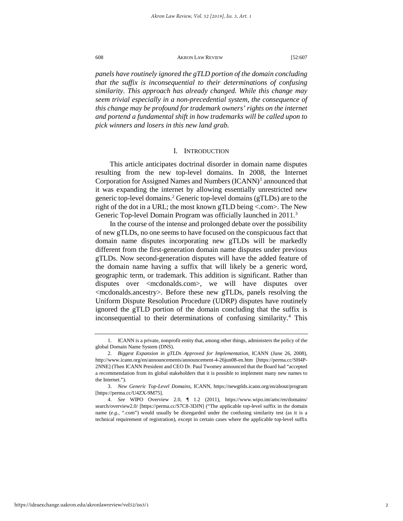*panels have routinely ignored the gTLD portion of the domain concluding that the suffix is inconsequential to their determinations of confusing similarity. This approach has already changed. While this change may seem trivial especially in a non-precedential system, the consequence of this change may be profound for trademark owners' rights on the internet and portend a fundamental shift in how trademarks will be called upon to pick winners and losers in this new land grab.* 

# I. INTRODUCTION

This article anticipates doctrinal disorder in domain name disputes resulting from the new top-level domains. In 2008, the Internet Corporation for Assigned Names and Numbers  $(ICANN)^1$  $(ICANN)^1$  announced that it was expanding the internet by allowing essentially unrestricted new generic top-level domains.[2](#page-2-1) Generic top-level domains (gTLDs) are to the right of the dot in a URL; the most known gTLD being <.com>. The New Generic Top-level Domain Program was officially launched in 2011.<sup>[3](#page-2-2)</sup>

In the course of the intense and prolonged debate over the possibility of new gTLDs, no one seems to have focused on the conspicuous fact that domain name disputes incorporating new gTLDs will be markedly different from the first-generation domain name disputes under previous gTLDs. Now second-generation disputes will have the added feature of the domain name having a suffix that will likely be a generic word, geographic term, or trademark. This addition is significant. Rather than disputes over <mcdonalds.com>, we will have disputes over <mcdonalds.ancestry>. Before these new gTLDs, panels resolving the Uniform Dispute Resolution Procedure (UDRP) disputes have routinely ignored the gTLD portion of the domain concluding that the suffix is inconsequential to their determinations of confusing similarity[.4](#page-2-3) This

<span id="page-2-0"></span><sup>1.</sup> ICANN is a private, nonprofit entity that, among other things, administers the policy of the global Domain Name System (DNS).

<span id="page-2-1"></span><sup>2.</sup> *Biggest Expansion in gTLDs Approved for Implementation*, ICANN (June 26, 2008), http://www.icann.org/en/announcements/announcement-4-26jun08-en.htm [https://perma.cc/SH4P-2NNE] (Then ICANN President and CEO Dr. Paul Twomey announced that the Board had "accepted a recommendation from its global stakeholders that it is possible to implement many new names to the Internet.").

<span id="page-2-2"></span><sup>3.</sup> *New Generic Top-Level Domains,* ICANN, https://newgtlds.icann.org/en/about/program [https://perma.cc/U4ZX-9M75].

<span id="page-2-3"></span><sup>4.</sup> *See* WIPO Overview 2.0, ¶ 1.2 (2011), https://www.wipo.int/amc/en/domains/ search/overview2.0/ [https://perma.cc/S7C8-3DJN] ("The applicable top-level suffix in the domain name (*e.g.*, ".com") would usually be disregarded under the confusing similarity test (as it is a technical requirement of registration), except in certain cases where the applicable top-level suffix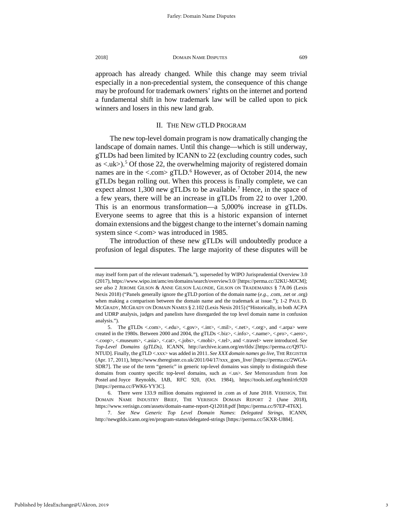approach has already changed. While this change may seem trivial especially in a non-precedential system, the consequence of this change may be profound for trademark owners' rights on the internet and portend a fundamental shift in how trademark law will be called upon to pick winners and losers in this new land grab.

# II. THE NEW GTLD PROGRAM

The new top-level domain program is now dramatically changing the landscape of domain names. Until this change—which is still underway, gTLDs had been limited by ICANN to 22 (excluding country codes, such as  $\langle u \rangle$ .<sup>[5](#page-3-0)</sup> Of those 22, the overwhelming majority of registered domain names are in the  $\langle$  com $\rangle$  gTLD.<sup>[6](#page-3-1)</sup> However, as of October 2014, the new gTLDs began rolling out. When this process is finally complete, we can expect almost  $1,300$  new gTLDs to be available.<sup>[7](#page-3-2)</sup> Hence, in the space of a few years, there will be an increase in gTLDs from 22 to over 1,200. This is an enormous transformation—a 5,000% increase in gTLDs. Everyone seems to agree that this is a historic expansion of internet domain extensions and the biggest change to the internet's domain naming system since <.com> was introduced in 1985.

The introduction of these new gTLDs will undoubtedly produce a profusion of legal disputes. The large majority of these disputes will be

may itself form part of the relevant trademark."), superseded by WIPO Jurisprudential Overview 3.0 (2017), https://www.wipo.int/amc/en/domains/search/overview3.0/ [https://perma.cc/32KU-MJCM]; *see also* 2 JEROME GILSON & ANNE GILSON LALONDE, GILSON ON TRADEMARKS § 7A.06 (Lexis Nexis 2018) ("Panels generally ignore the gTLD portion of the domain name (*e.g.*, .com, .net or .org) when making a comparison between the domain name and the trademark at issue."); 1-2 PAUL D. MCGRADY, MCGRADY ON DOMAIN NAMES § 2.102 (Lexis Nexis 2015) ("Historically, in both ACPA and UDRP analysis, judges and panelists have disregarded the top level domain name in confusion analysis.").

<span id="page-3-0"></span><sup>5.</sup> The gTLDs <.com>, <.edu>, <.gov>, <.int>, <.mil>, <.net>, <.org>, and <.arpa> were created in the 1980s. Between 2000 and 2004, the gTLDs <.br/>biz>, <.info>, <.name>, <.pro>, <.aero>, <.coop>, <.museum>, <.asia>, <.cat>, <.jobs>, <.mobi>, <.tel>, and <.travel> were introduced. *See Top-Level Domains (gTLDs)*, ICANN, http://archive.icann.org/en/tlds/.[https://perma.cc/Q97U-NTUD]. Finally, the gTLD <.xxx> was added in 2011. *See XXX domain names go live*, THE REGISTER (Apr. 17, 2011), https://www.theregister.co.uk/2011/04/17/xxx\_goes\_live/ [https://perma.cc/2WGA-SDR7]. The use of the term "generic" in generic top-level domains was simply to distinguish these domains from country specific top-level domains, such as <.us>. *See* Memorandum from Jon Postel and Joyce Reynolds, IAB, RFC 920, (Oct. 1984), https://tools.ietf.org/html/rfc920 [https://perma.cc/FWK6-YY3C].

<span id="page-3-1"></span><sup>6.</sup> There were 133.9 million domains registered in .com as of June 2018. VERISIGN, THE DOMAIN NAME INDUSTRY BRIEF, THE VERISIGN DOMAIN REPORT 2 (June 2018), https://www.verisign.com/assets/domain-name-report-Q12018.pdf [https://perma.cc/97EP-4T6X].

<span id="page-3-2"></span><sup>7.</sup> *See New Generic Top Level Domain Names*: *Delegated Strings*, ICANN, http://newgtlds.icann.org/en/program-status/delegated-strings [https://perma.cc/5KXR-U884].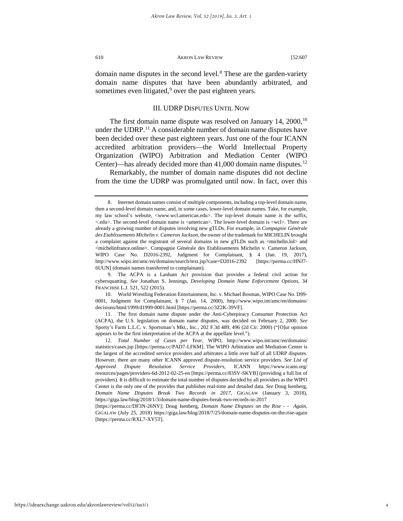domain name disputes in the second level.<sup>[8](#page-4-0)</sup> These are the garden-variety domain name disputes that have been abundantly arbitrated, and sometimes even litigated,<sup>[9](#page-4-1)</sup> over the past eighteen years.

# III. UDRP DISPUTES UNTIL NOW

The first domain name dispute was resolved on January  $14, 2000$ ,<sup>[10](#page-4-2)</sup> under the UDRP.<sup>[11](#page-4-3)</sup> A considerable number of domain name disputes have been decided over these past eighteen years. Just one of the four ICANN accredited arbitration providers—the World Intellectual Property Organization (WIPO) Arbitration and Mediation Center (WIPO Center)—has already decided more than 41,000 domain name disputes.<sup>[12](#page-4-4)</sup>

Remarkably, the number of domain name disputes did not decline from the time the UDRP was promulgated until now. In fact, over this

<span id="page-4-2"></span>10. World Wrestling Federation Entertainment, Inc. v. Michael Bosman, WIPO Case No. D99- 0001, Judgment for Complainant, § 7 (Jan. 14, 2000), http://www.wipo.int/amc/en/domains/ decisions/html/1999/d1999-0001.html [https://perma.cc/3Z2K-39VF].

<span id="page-4-3"></span>11. The first domain name dispute under the Anti-Cyberpiracy Consumer Protection Act (ACPA), the U.S. legislation on domain name disputes, was decided on February 2, 2000. *See* Sporty's Farm L.L.C. v. Sportsman's Mkt., Inc., 202 F.3d 489, 496 (2d Cir. 2000) ("[O]ur opinion appears to be the first interpretation of the ACPA at the appellate level.").

<span id="page-4-0"></span><sup>8.</sup> Internet domain names consist of multiple components, including a top-level domain name, then a second-level domain name, and, in some cases, lower-level domain names. Take, for example, my law school's website, <www.wcl.american.edu>. The top-level domain name is the suffix, <.edu>. The second-level domain name is <american>. The lower-level domain is <wcl>. There are already a growing number of disputes involving new gTLDs. For example, in *Compagnie Générale des Etablissements Michelin v. Cameron Jackson*, the owner of the trademark for MICHELIN brought a complaint against the registrant of several domains in new gTLDs such as <michelin.lol> and <michelinfrance.online>. Compagnie Générale des Etablissements Michelin v. Cameron Jackson*,* WIPO Case No. D2016-2392, Judgment for Complainant, § 4 (Jan. 19, 2017), http://www.wipo.int/amc/en/domains/search/text.jsp?case=D2016-2392 [https://perma.cc/HNJ7- 6UUN] (domain names transferred to complainant).

<span id="page-4-1"></span><sup>9.</sup> The ACPA is a Lanham Act provision that provides a federal civil action for cybersquatting. *See* Jonathan S. Jennings, *Developing Domain Name Enforcement Options*, 34 FRANCHISE L.J. 521, 522 (2015).

<span id="page-4-4"></span><sup>12.</sup> *Total Number of Cases per Year*, WIPO, http://www.wipo.int/amc/en/domains/ statistics/cases.jsp [https://perma.cc/PAD7-LFKM]. The WIPO Arbitration and Mediation Center is the largest of the accredited service providers and arbitrates a little over half of all UDRP disputes. However, there are many other ICANN approved dispute-resolution service providers. *See List of Approved Dispute Resolution Service Providers*, ICANN https://www.icann.org/ resources/pages/providers-6d-2012-02-25-en [https://perma.cc/83SV-SKYB] (providing a full list of providers). It is difficult to estimate the total number of disputes decided by all providers as the WIPO Center is the only one of the provides that publishes real-time and detailed data. *See* Doug Isenberg, *Domain Name Disputes Break Two Records in 2017*, GIGALAW (January 3, 2018), https://giga.law/blog/2018/1/3/domain-name-disputes-break-two-records-in-2017

<sup>[</sup>https://perma.cc/DF3N-26NY]; Doug Isenberg, *Domain Name Disputes on the Rise - - Again*, GIGALAW (July 25, 2018) https://giga.law/blog/2018/7/25/domain-name-disputes-on-the-rise-again [https://perma.cc/RXL7-XY5T].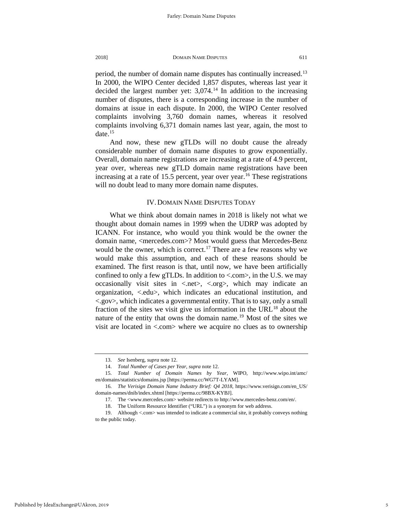period, the number of domain name disputes has continually increased.<sup>[13](#page-5-0)</sup> In 2000, the WIPO Center decided 1,857 disputes, whereas last year it decided the largest number yet:  $3.074$ .<sup>[14](#page-5-1)</sup> In addition to the increasing number of disputes, there is a corresponding increase in the number of domains at issue in each dispute. In 2000, the WIPO Center resolved complaints involving 3,760 domain names, whereas it resolved complaints involving 6,371 domain names last year, again, the most to date. $15$ 

And now, these new gTLDs will no doubt cause the already considerable number of domain name disputes to grow exponentially. Overall, domain name registrations are increasing at a rate of 4.9 percent, year over, whereas new gTLD domain name registrations have been increasing at a rate of 15.5 percent, year over year.<sup>[16](#page-5-3)</sup> These registrations will no doubt lead to many more domain name disputes.

# IV. DOMAIN NAME DISPUTES TODAY

What we think about domain names in 2018 is likely not what we thought about domain names in 1999 when the UDRP was adopted by ICANN. For instance, who would you think would be the owner the domain name, <mercedes.com>? Most would guess that Mercedes-Benz would be the owner, which is correct.<sup>[17](#page-5-4)</sup> There are a few reasons why we would make this assumption, and each of these reasons should be examined. The first reason is that, until now, we have been artificially confined to only a few gTLDs. In addition to  $\langle \text{.com}\rangle$ , in the U.S. we may occasionally visit sites in <.net>, <.org>, which may indicate an organization, <.edu>, which indicates an educational institution, and <.gov>, which indicates a governmental entity. That is to say, only a small fraction of the sites we visit give us information in the  $URL<sup>18</sup>$  $URL<sup>18</sup>$  $URL<sup>18</sup>$  about the nature of the entity that owns the domain name.<sup>[19](#page-5-6)</sup> Most of the sites we visit are located in  $\langle$  com $\rangle$  where we acquire no clues as to ownership

<sup>13.</sup> *See* Isenberg*, supra* note 12.

<sup>14.</sup> *Total Number of Cases per Year*, *supra* note 12.

<span id="page-5-2"></span><span id="page-5-1"></span><span id="page-5-0"></span><sup>15.</sup> *Total Number of Domain Names by Year*, WIPO, http://www.wipo.int/amc/ en/domains/statistics/domains.jsp [https://perma.cc/WG7T-LYAM].

<span id="page-5-4"></span><span id="page-5-3"></span><sup>16.</sup> *The Verisign Domain Name Industry Brief: Q4 2018*, https://www.verisign.com/en\_US/ domain-names/dnib/index.xhtml [https://perma.cc/98BX-KYBJ].

<sup>17.</sup> The <www.mercedes.com> website redirects to http://www.mercedes-benz.com/en/.

<sup>18.</sup> The Uniform Resource Identifier ("URL") is a synonym for web address.

<span id="page-5-6"></span><span id="page-5-5"></span><sup>19.</sup> Although <.com> was intended to indicate a commercial site, it probably conveys nothing to the public today.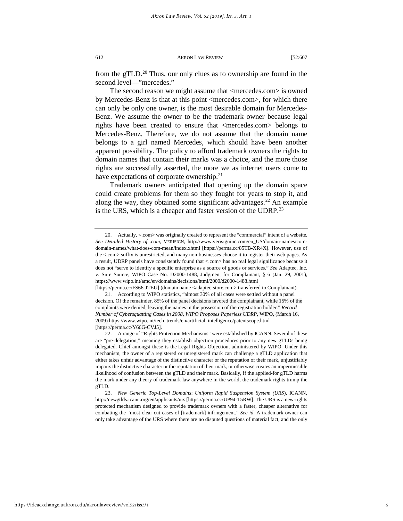from the gTLD.[20](#page-6-0) Thus, our only clues as to ownership are found in the second level—"mercedes."

The second reason we might assume that <mercedes.com> is owned by Mercedes-Benz is that at this point <mercedes.com>, for which there can only be only one owner, is the most desirable domain for Mercedes-Benz. We assume the owner to be the trademark owner because legal rights have been created to ensure that <mercedes.com> belongs to Mercedes-Benz. Therefore, we do not assume that the domain name belongs to a girl named Mercedes, which should have been another apparent possibility. The policy to afford trademark owners the rights to domain names that contain their marks was a choice, and the more those rights are successfully asserted, the more we as internet users come to have expectations of corporate ownership.<sup>[21](#page-6-1)</sup>

Trademark owners anticipated that opening up the domain space could create problems for them so they fought for years to stop it, and along the way, they obtained some significant advantages.<sup>[22](#page-6-2)</sup> An example is the URS, which is a cheaper and faster version of the UDRP.<sup>[23](#page-6-3)</sup>

[https://perma.cc/FS66-JTEU] (domain name <adaptec-store.com> transferred to Complainant).

<span id="page-6-1"></span>21. According to WIPO statistics, "almost 30% of all cases were settled without a panel decision. Of the remainder, 85% of the panel decisions favored the complainant, while 15% of the complaints were denied, leaving the names in the possession of the registration holder." *Record Number of Cybersquatting Cases in 2008, WIPO Proposes Paperless UDRP,* WIPO, (March 16, 2009) https://www.wipo.int/tech\_trends/en/artificial\_intelligence/patentscope.html [https://perma.cc/Y66G-CVJ5].

<span id="page-6-3"></span>23. *New Generic Top-Level Domains*: *Uniform Rapid Suspension System (URS*), ICANN, http://newgtlds.icann.org/en/applicants/urs [https://perma.cc/UP94-T5RW]. The URS is a new-rights protected mechanism designed to provide trademark owners with a faster, cheaper alternative for combating the "most clear-cut cases of [trademark] infringement." *See id*. A trademark owner can only take advantage of the URS where there are no disputed questions of material fact, and the only

<span id="page-6-0"></span><sup>20.</sup> Actually, <.com> was originally created to represent the "commercial" intent of a website. *See Detailed History of .com*, VERISIGN, http://www.verisigninc.com/en\_US/domain-names/comdomain-names/what-does-com-mean/index.xhtml [https://perma.cc/85TB-XR4X]. However, use of the <.com> suffix is unrestricted, and many non-businesses choose it to register their web pages. As a result, UDRP panels have consistently found that <.com> has no real legal significance because it does not "serve to identify a specific enterprise as a source of goods or services." *See* Adaptec, Inc. v. Sure Source, WIPO Case No. D2000-1488, Judgment for Complainant, § 6 (Jan. 29, 2001), https://www.wipo.int/amc/en/domains/decisions/html/2000/d2000-1488.html

<span id="page-6-2"></span><sup>22.</sup> A range of "Rights Protection Mechanisms" were established by ICANN. Several of these are "pre-delegation," meaning they establish objection procedures prior to any new gTLDs being delegated. Chief amongst these is the Legal Rights Objection, administered by WIPO. Under this mechanism, the owner of a registered or unregistered mark can challenge a gTLD application that either takes unfair advantage of the distinctive character or the reputation of their mark, unjustifiably impairs the distinctive character or the reputation of their mark, or otherwise creates an impermissible likelihood of confusion between the gTLD and their mark. Basically, if the applied-for gTLD harms the mark under any theory of trademark law anywhere in the world, the trademark rights trump the gTLD.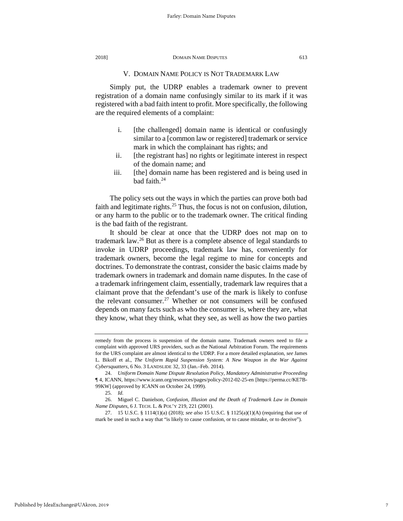# V. DOMAIN NAME POLICY IS NOT TRADEMARK LAW

Simply put, the UDRP enables a trademark owner to prevent registration of a domain name confusingly similar to its mark if it was registered with a bad faith intent to profit. More specifically, the following are the required elements of a complaint:

- i. [the challenged] domain name is identical or confusingly similar to a [common law or registered] trademark or service mark in which the complainant has rights; and
- ii. [the registrant has] no rights or legitimate interest in respect of the domain name; and
- iii. [the] domain name has been registered and is being used in bad faith.<sup>[24](#page-7-0)</sup>

The policy sets out the ways in which the parties can prove both bad faith and legitimate rights.<sup>[25](#page-7-1)</sup> Thus, the focus is not on confusion, dilution, or any harm to the public or to the trademark owner. The critical finding is the bad faith of the registrant.

It should be clear at once that the UDRP does not map on to trademark law.[26](#page-7-2) But as there is a complete absence of legal standards to invoke in UDRP proceedings, trademark law has, conveniently for trademark owners, become the legal regime to mine for concepts and doctrines. To demonstrate the contrast, consider the basic claims made by trademark owners in trademark and domain name disputes. In the case of a trademark infringement claim, essentially, trademark law requires that a claimant prove that the defendant's use of the mark is likely to confuse the relevant consumer.<sup>[27](#page-7-3)</sup> Whether or not consumers will be confused depends on many facts such as who the consumer is, where they are, what they know, what they think, what they see, as well as how the two parties

remedy from the process is suspension of the domain name. Trademark owners need to file a complaint with approved URS providers, such as the National Arbitration Forum. The requirements for the URS complaint are almost identical to the UDRP. For a more detailed explanation, *see* James L. Bikoff et al., *The Uniform Rapid Suspension System: A New Weapon in the War Against Cybersquatters*, 6 No. 3 LANDSLIDE 32, 33 (Jan.–Feb. 2014).

<span id="page-7-0"></span><sup>24.</sup> *Uniform Domain Name Dispute Resolution Policy*, *Mandatory Administrative Proceeding*  ¶ 4, ICANN, https://www.icann.org/resources/pages/policy-2012-02-25-en [https://perma.cc/KE7B-99KW] (approved by ICANN on October 24, 1999).

<sup>25.</sup> *Id.*

<span id="page-7-2"></span><span id="page-7-1"></span><sup>26.</sup> Miguel C. Danielson, *Confusion, Illusion and the Death of Trademark Law in Domain Name Disputes*, 6 J. TECH. L. & POL'Y 219, 221 (2001).

<span id="page-7-3"></span><sup>27.</sup> 15 U.S.C. § 1114(1)(a) (2018); *see also* 15 U.S.C. § 1125(a)(1)(A) (requiring that use of mark be used in such a way that "is likely to cause confusion, or to cause mistake, or to deceive").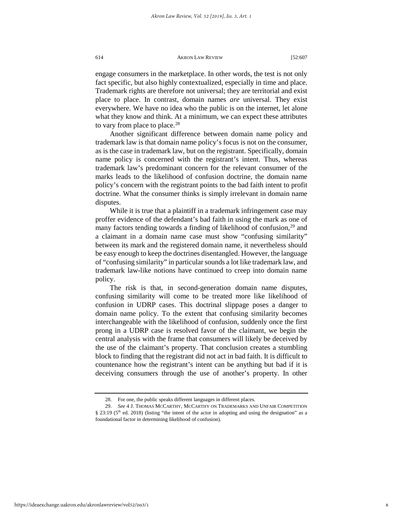engage consumers in the marketplace. In other words, the test is not only fact specific, but also highly contextualized, especially in time and place. Trademark rights are therefore not universal; they are territorial and exist place to place. In contrast, domain names *are* universal. They exist everywhere. We have no idea who the public is on the internet, let alone what they know and think. At a minimum, we can expect these attributes to vary from place to place.<sup>28</sup>

Another significant difference between domain name policy and trademark law is that domain name policy's focus is not on the consumer, as is the case in trademark law, but on the registrant. Specifically, domain name policy is concerned with the registrant's intent. Thus, whereas trademark law's predominant concern for the relevant consumer of the marks leads to the likelihood of confusion doctrine, the domain name policy's concern with the registrant points to the bad faith intent to profit doctrine. What the consumer thinks is simply irrelevant in domain name disputes.

While it is true that a plaintiff in a trademark infringement case may proffer evidence of the defendant's bad faith in using the mark as one of many factors tending towards a finding of likelihood of confusion,<sup>[29](#page-8-1)</sup> and a claimant in a domain name case must show "confusing similarity" between its mark and the registered domain name, it nevertheless should be easy enough to keep the doctrines disentangled. However, the language of "confusing similarity" in particular sounds a lot like trademark law, and trademark law-like notions have continued to creep into domain name policy.

The risk is that, in second-generation domain name disputes, confusing similarity will come to be treated more like likelihood of confusion in UDRP cases. This doctrinal slippage poses a danger to domain name policy. To the extent that confusing similarity becomes interchangeable with the likelihood of confusion, suddenly once the first prong in a UDRP case is resolved favor of the claimant, we begin the central analysis with the frame that consumers will likely be deceived by the use of the claimant's property. That conclusion creates a stumbling block to finding that the registrant did not act in bad faith. It is difficult to countenance how the registrant's intent can be anything but bad if it is deceiving consumers through the use of another's property. In other

<sup>28.</sup> For one, the public speaks different languages in different places.

<span id="page-8-1"></span><span id="page-8-0"></span><sup>29.</sup> *See* 4 J. THOMAS MCCARTHY, MCCARTHY ON TRADEMARKS AND UNFAIR COMPETITION § 23:19 (5<sup>th</sup> ed. 2018) (listing "the intent of the actor in adopting and using the designation" as a foundational factor in determining likelihood of confusion).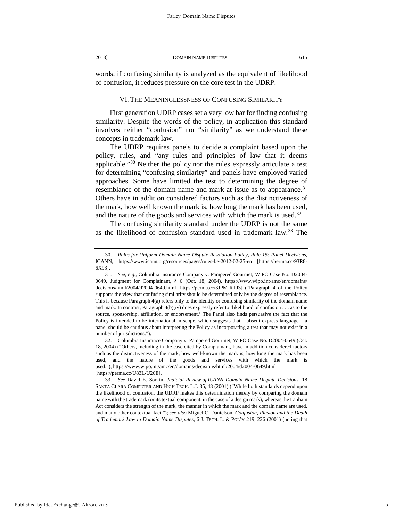words, if confusing similarity is analyzed as the equivalent of likelihood of confusion, it reduces pressure on the core test in the UDRP.

# VI. THE MEANINGLESSNESS OF CONFUSING SIMILARITY

First generation UDRP cases set a very low bar for finding confusing similarity. Despite the words of the policy, in application this standard involves neither "confusion" nor "similarity" as we understand these concepts in trademark law.

The UDRP requires panels to decide a complaint based upon the policy, rules, and "any rules and principles of law that it deems applicable."[30](#page-9-0) Neither the policy nor the rules expressly articulate a test for determining "confusing similarity" and panels have employed varied approaches. Some have limited the test to determining the degree of resemblance of the domain name and mark at issue as to appearance.<sup>[31](#page-9-1)</sup> Others have in addition considered factors such as the distinctiveness of the mark, how well known the mark is, how long the mark has been used, and the nature of the goods and services with which the mark is used.<sup>[32](#page-9-2)</sup>

The confusing similarity standard under the UDRP is not the same as the likelihood of confusion standard used in trademark law.[33](#page-9-3) The

<span id="page-9-2"></span>32. Columbia Insurance Company v. Pampered Gourmet, WIPO Case No. D2004-0649 (Oct. 18, 2004) ("Others, including in the case cited by Complainant, have in addition considered factors such as the distinctiveness of the mark, how well-known the mark is, how long the mark has been used, and the nature of the goods and services with which the mark is used."), https://www.wipo.int/amc/en/domains/decisions/html/2004/d2004-0649.html [https://perma.cc/U83L-U26E].

<span id="page-9-3"></span>33. *See* David E. Sorkin, *Judicial Review of ICANN Domain Name Dispute Decisions*, 18 SANTA CLARA COMPUTER AND HIGH TECH. L.J. 35, 48 (2001) ("While both standards depend upon the likelihood of confusion, the UDRP makes this determination merely by comparing the domain name with the trademark (or its textual component, in the case of a design mark), whereas the Lanham Act considers the strength of the mark, the manner in which the mark and the domain name are used, and many other contextual fact."); *see also* Miguel C. Danielson, *Confusion, Illusion and the Death of Trademark Law in Domain Name Disputes*, 6 J. TECH. L. & POL'Y 219, 226 (2001) (noting that

<span id="page-9-0"></span><sup>30.</sup> *Rules for Uniform Domain Name Dispute Resolution Policy*, *Rule 15: Panel Decisions*, ICANN, https://www.icann.org/resources/pages/rules-be-2012-02-25-en [https://perma.cc/93R8- 6X93].

<span id="page-9-1"></span><sup>31.</sup> *See, e.g.,* Columbia Insurance Company v. Pampered Gourmet, WIPO Case No. D2004- 0649, Judgment for Complainant, § 6 (Oct. 18, 2004), https://www.wipo.int/amc/en/domains/ decisions/html/2004/d2004-0649.html [https://perma.cc/3JPM-RTJ3] ("Paragraph 4 of the Policy supports the view that confusing similarity should be determined only by the degree of resemblance. This is because Paragraph 4(a) refers only to the identity or confusing similarity of the domain name and mark. In contrast, Paragraph 4(b)(iv) does expressly refer to 'likelihood of confusion . . . as to the source, sponsorship, affiliation, or endorsement.' The Panel also finds persuasive the fact that the Policy is intended to be international in scope, which suggests that – absent express language – a panel should be cautious about interpreting the Policy as incorporating a test that may not exist in a number of jurisdictions.").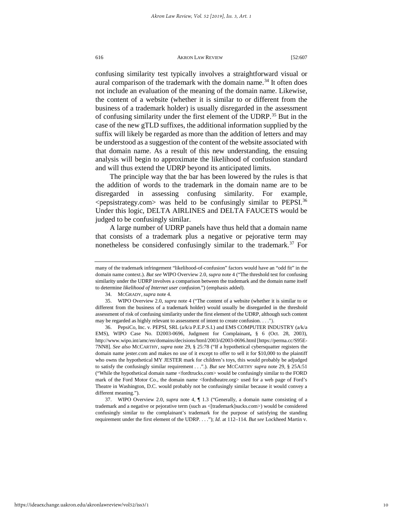confusing similarity test typically involves a straightforward visual or aural comparison of the trademark with the domain name.<sup>[34](#page-10-0)</sup> It often does not include an evaluation of the meaning of the domain name. Likewise, the content of a website (whether it is similar to or different from the business of a trademark holder) is usually disregarded in the assessment of confusing similarity under the first element of the UDRP.<sup>[35](#page-10-1)</sup> But in the case of the new gTLD suffixes, the additional information supplied by the suffix will likely be regarded as more than the addition of letters and may be understood as a suggestion of the content of the website associated with that domain name. As a result of this new understanding, the ensuing analysis will begin to approximate the likelihood of confusion standard and will thus extend the UDRP beyond its anticipated limits.

The principle way that the bar has been lowered by the rules is that the addition of words to the trademark in the domain name are to be disregarded in assessing confusing similarity. For example,  $\epsilon$  pepsistrategy.com was held to be confusingly similar to PEPSI.<sup>[36](#page-10-2)</sup> Under this logic, DELTA AIRLINES and DELTA FAUCETS would be judged to be confusingly similar.

A large number of UDRP panels have thus held that a domain name that consists of a trademark plus a negative or pejorative term may nonetheless be considered confusingly similar to the trademark.<sup>[37](#page-10-3)</sup> For

many of the trademark infringement "likelihood-of-confusion" factors would have an "odd fit" in the domain name context.). *But see* WIPO Overview 2.0, *supra* note 4 ("The threshold test for confusing similarity under the UDRP involves a comparison between the trademark and the domain name itself to determine *likelihood of Internet user confusion*.") (emphasis added).

<sup>34.</sup> MCGRADY, *supra* note 4.

<span id="page-10-1"></span><span id="page-10-0"></span><sup>35.</sup> WIPO Overview 2.0, *supra* note 4 ("The content of a website (whether it is similar to or different from the business of a trademark holder) would usually be disregarded in the threshold assessment of risk of confusing similarity under the first element of the UDRP, although such content may be regarded as highly relevant to assessment of intent to create confusion. . . .").

<span id="page-10-2"></span><sup>36.</sup> PepsiCo, Inc. v. PEPSI, SRL (a/k/a P.E.P.S.I.) and EMS COMPUTER INDUSTRY (a/k/a EMS), WIPO Case No. D2003-0696, Judgment for Complainant**,** § 6 (Oct. 28, 2003), http://www.wipo.int/amc/en/domains/decisions/html/2003/d2003-0696.html [https://perma.cc/S95E-7NN8]. *See also* MCCARTHY, *supra* note 29, § 25:78 ("If a hypothetical cybersquatter registers the domain name jester.com and makes no use of it except to offer to sell it for \$10,000 to the plaintiff who owns the hypothetical MY JESTER mark for children's toys, this would probably be adjudged to satisfy the confusingly similar requirement . . .".). *But see* MCCARTHY *supra* note 29, § 25A:51 ("While the hypothetical domain name <fordtrucks.com> would be confusingly similar to the FORD mark of the Ford Motor Co., the domain name <fordstheatre.org> used for a web page of Ford's Theatre in Washington, D.C. would probably not be confusingly similar because it would convey a different meaning.").

<span id="page-10-3"></span><sup>37.</sup> WIPO Overview 2.0, *supra* note 4, ¶ 1.3 ("Generally, a domain name consisting of a trademark and a negative or pejorative term (such as <[trademark]sucks.com>) would be considered confusingly similar to the complainant's trademark for the purpose of satisfying the standing requirement under the first element of the UDRP. . . ."); *Id.* at 112–114. *But see* Lockheed Martin v.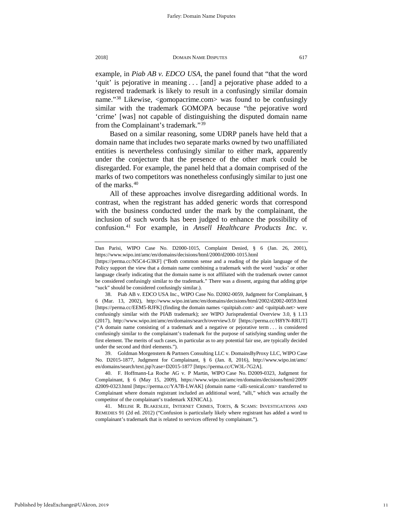example, in *Piab AB v. EDCO USA*, the panel found that "that the word 'quit' is pejorative in meaning . . . [and] a pejorative phase added to a registered trademark is likely to result in a confusingly similar domain name."<sup>[38](#page-11-0)</sup> Likewise, <gomopacrime.com> was found to be confusingly similar with the trademark GOMOPA because "the pejorative word 'crime' [was] not capable of distinguishing the disputed domain name from the Complainant's trademark."[39](#page-11-1)

Based on a similar reasoning, some UDRP panels have held that a domain name that includes two separate marks owned by two unaffiliated entities is nevertheless confusingly similar to either mark, apparently under the conjecture that the presence of the other mark could be disregarded. For example, the panel held that a domain comprised of the marks of two competitors was nonetheless confusingly similar to just one of the marks.<sup>[40](#page-11-2)</sup>

All of these approaches involve disregarding additional words. In contrast, when the registrant has added generic words that correspond with the business conducted under the mark by the complainant, the inclusion of such words has been judged to enhance the possibility of confusion.[41](#page-11-3) For example, in *Ansell Healthcare Products Inc. v.* 

<span id="page-11-1"></span>39. Goldman Morgenstern & Partners Consulting LLC v. DomainsByProxy LLC, WIPO Case No. D2015-1877, Judgment for Complainant, § 6 (Jan. 8, 2016), http://www.wipo.int/amc/ en/domains/search/text.jsp?case=D2015-1877 [https://perma.cc/CW3L-7G2A].

<span id="page-11-3"></span>41. MELISE R. BLAKESLEE, INTERNET CRIMES, TORTS, & SCAMS: INVESTIGATIONS AND REMEDIES 91 (2d ed. 2012) ("Confusion is particularly likely where registrant has added a word to complainant's trademark that is related to services offered by complainant.").

Dan Parisi, WIPO Case No. D2000-1015, Complaint Denied, § 6 (Jan. 26, 2001), https://www.wipo.int/amc/en/domains/decisions/html/2000/d2000-1015.html

<sup>[</sup>https://perma.cc/N5C4-G3KF] ("Both common sense and a reading of the plain language of the Policy support the view that a domain name combining a trademark with the word 'sucks' or other language clearly indicating that the domain name is not affiliated with the trademark owner cannot be considered confusingly similar to the trademark." There was a dissent, arguing that adding gripe "suck" should be considered confusingly similar.).

<span id="page-11-0"></span><sup>38.</sup> Piab AB v. EDCO USA Inc., WIPO Case No. D2002-0059, Judgment for Complainant, § 6 (Mar. 13, 2002), http://www.wipo.int/amc/en/domains/decisions/html/2002/d2002-0059.html [https://perma.cc/EEM5-RJFK] (finding the domain names <quitpiab.com> and <quitpiab.net> were confusingly similar with the PIAB trademark); *see* WIPO Jurisprudential Overview 3.0, § 1.13 (2017), http://www.wipo.int/amc/en/domains/search/overview3.0/ [https://perma.cc/H8YN-RRUT] ("A domain name consisting of a trademark and a negative or pejorative term . . . is considered confusingly similar to the complainant's trademark for the purpose of satisfying standing under the first element. The merits of such cases, in particular as to any potential fair use, are typically decided under the second and third elements.").

<span id="page-11-2"></span><sup>40.</sup> F. Hoffmann-La Roche AG v. P Martin, WIPO Case No. D2009-0323, Judgment for Complainant, § 6 (May 15, 2009), https://www.wipo.int/amc/en/domains/decisions/html/2009/ d2009-0323.html [https://perma.cc/YA7B-LWAK] (domain name <alli-xenical.com> transferred to Complainant where domain registrant included an additional word, "alli," which was actually the competitor of the complainant's trademark XENICAL).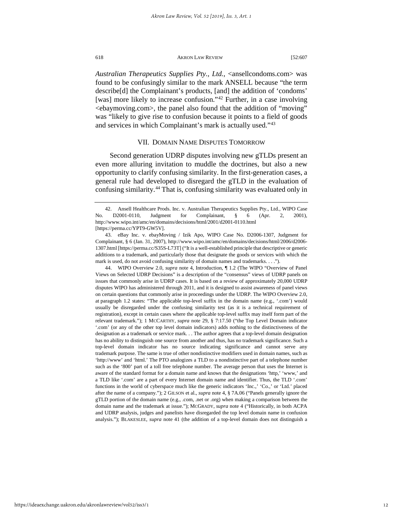*Australian Therapeutics Supplies Pty., Ltd.*, <ansellcondoms.com> was found to be confusingly similar to the mark ANSELL because "the term describe[d] the Complainant's products, [and] the addition of 'condoms' [was] more likely to increase confusion."<sup>[42](#page-12-0)</sup> Further, in a case involving <ebaymoving.com>, the panel also found that the addition of "moving" was "likely to give rise to confusion because it points to a field of goods and services in which Complainant's mark is actually used."[43](#page-12-1)

# VII. DOMAIN NAME DISPUTES TOMORROW

Second generation UDRP disputes involving new gTLDs present an even more alluring invitation to muddle the doctrines, but also a new opportunity to clarify confusing similarity. In the first-generation cases, a general rule had developed to disregard the gTLD in the evaluation of confusing similarity.[44](#page-12-2) That is, confusing similarity was evaluated only in

<span id="page-12-2"></span>44. WIPO Overview 2.0, *supra* note 4, Introduction, ¶ 1.2 (The WIPO "Overview of Panel Views on Selected UDRP Decisions" is a description of the "consensus" views of UDRP panels on issues that commonly arise in UDRP cases. It is based on a review of approximately 20,000 UDRP disputes WIPO has administered through 2011, and it is designed to assist awareness of panel views on certain questions that commonly arise in proceedings under the UDRP. The WIPO Overview 2.0, at paragraph 1.2 states: "The applicable top-level suffix in the domain name (e.g., '.com') would usually be disregarded under the confusing similarity test (as it is a technical requirement of registration), except in certain cases where the applicable top-level suffix may itself form part of the relevant trademark."); 1 MCCARTHY, *supra* note 29, § 7:17.50 ("the Top Level Domain indicator '.com' (or any of the other top level domain indicators) adds nothing to the distinctiveness of the designation as a trademark or service mark. . . The author agrees that a top-level domain designation has no ability to distinguish one source from another and thus, has no trademark significance. Such a top-level domain indicator has no source indicating significance and cannot serve any trademark purpose. The same is true of other nondistinctive modifiers used in domain names, such as 'http://www' and 'html.' The PTO analogizes a TLD to a nondistinctive part of a telephone number such as the '800' part of a toll free telephone number. The average person that uses the Internet is aware of the standard format for a domain name and knows that the designations 'http,' 'www,' and a TLD like '.com' are a part of every Internet domain name and identifier. Thus, the TLD '.com' functions in the world of cyberspace much like the generic indicators 'Inc.,' 'Co.,' or 'Ltd.' placed after the name of a company."); 2 GILSON et al., *supra* note 4, § 7A.06 ("Panels generally ignore the gTLD portion of the domain name (e.g., .com, .net or .org) when making a comparison between the domain name and the trademark at issue."); MCGRADY, *supra* note 4 ("Historically, in both ACPA and UDRP analysis, judges and panelists have disregarded the top level domain name in confusion analysis."); BLAKESLEE, *supra* note 41 (the addition of a top-level domain does not distinguish a

<span id="page-12-0"></span><sup>42.</sup> Ansell Healthcare Prods. Inc. v. Australian Therapeutics Supplies Pty., Ltd*.*, WIPO Case No. D2001-0110, Judgment for Complainant, § 6 (Apr. 2, 2001), http://www.wipo.int/amc/en/domains/decisions/html/2001/d2001-0110.html [https://perma.cc/YPT9-GW5V].

<span id="page-12-1"></span><sup>43.</sup> eBay Inc. v. ebayMoving / Izik Apo, WIPO Case No. D2006-1307, Judgment for Complainant, § 6 (Jan. 31, 2007), http://www.wipo.int/amc/en/domains/decisions/html/2006/d2006- 1307.html [https://perma.cc/S35S-L73T] ("It is a well-established principle that descriptive or generic additions to a trademark, and particularly those that designate the goods or services with which the mark is used, do not avoid confusing similarity of domain names and trademarks. . . .").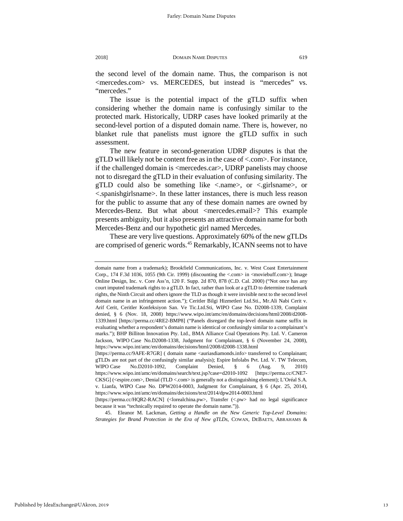the second level of the domain name. Thus, the comparison is not <mercedes.com> vs. MERCEDES, but instead is "mercedes" vs. "mercedes."

The issue is the potential impact of the gTLD suffix when considering whether the domain name is confusingly similar to the protected mark. Historically, UDRP cases have looked primarily at the second-level portion of a disputed domain name. There is, however, no blanket rule that panelists must ignore the gTLD suffix in such assessment.

The new feature in second-generation UDRP disputes is that the gTLD will likely not be content free as in the case of <.com>. For instance, if the challenged domain is <mercedes.car>, UDRP panelists may choose not to disregard the gTLD in their evaluation of confusing similarity. The gTLD could also be something like  $\le$  name>, or  $\le$  girlsname>, or <.spanishgirlsname>. In these latter instances, there is much less reason for the public to assume that any of these domain names are owned by Mercedes-Benz. But what about <mercedes.email>? This example presents ambiguity, but it also presents an attractive domain name for both Mercedes-Benz and our hypothetic girl named Mercedes.

These are very live questions. Approximately 60% of the new gTLDs are comprised of generic words.<sup>[45](#page-13-0)</sup> Remarkably, ICANN seems not to have

domain name from a trademark); Brookfield Communications, Inc. v. West Coast Entertainment Corp., 174 F.3d 1036, 1055 (9th Cir. 1999) (discounting the  $\langle$ .com $\rangle$  in  $\langle$ moviebuff.com $\rangle$ ); Image Online Design, Inc. v. Core Ass'n, 120 F. Supp. 2d 870, 878 (C.D. Cal. 2000) ("Not once has any court imputed trademark rights to a gTLD. In fact, rather than look *at* a gTLD to determine trademark rights, the Ninth Circuit and others ignore the TLD as though it were invisible next to the second level domain name in an infringement action."); Ceritler Bilgi Hizmetleri Ltd.Sti., Mr.Ali Nabi Cerit v. Arif Cerit, Ceritler Konfeksiyon San. Ve Tic.Ltd.Sti, WIPO Case No. D2008-1339, Complaint denied, § 6 (Nov. 18, 2008) https://www.wipo.int/amc/en/domains/decisions/html/2008/d2008- 1339.html [https://perma.cc/4RE2-BMP8] ("Panels disregard the top-level domain name suffix in evaluating whether a respondent's domain name is identical or confusingly similar to a complainant's marks."); BHP Billiton Innovation Pty. Ltd., BMA Alliance Coal Operations Pty. Ltd. V. Cameron Jackson, WIPO Case No.D2008-1338, Judgment for Complainant, § 6 (November 24, 2008), https://www.wipo.int/amc/en/domains/decisions/html/2008/d2008-1338.html

<sup>[</sup>https://perma.cc/9AFE-R7GR] ( domain name <auriasdiamonds.info> transferred to Complainant; gTLDs are not part of the confusingly similar analysis); Espire Infolabs Pvt. Ltd. V. TW Telecom, WIPO Case No.D2010-1092, Complaint Denied, § 6 (Aug. 9, 2010) https://www.wipo.int/amc/en/domains/search/text.jsp?case=d2010-1092 [https://perma.cc/CNE7- CKSG] (<espire.com>, Denial (TLD <.com> is generally not a distinguishing element); L'Oréal S.A. v. Lianfa, WIPO Case No. DPW2014-0003, Judgment for Complainant, § 6 (Apr. 25, 2014), https://www.wipo.int/amc/en/domains/decisions/text/2014/dpw2014-0003.html

<sup>[</sup>https://perma.cc/HQR2-RACN] (<lorealchina.pw>, Transfer (<.pw> had no legal significance because it was "technically required to operate the domain name.")).

<span id="page-13-0"></span><sup>45.</sup> Eleanor M. Lackman, *Getting a Handle on the New Generic Top-Level Domains: Strategies for Brand Protection in the Era of New gTLDs*, COWAN, DEBAETS, ABRAHAMS &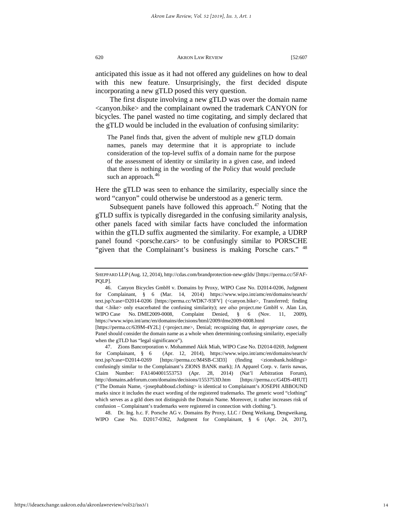anticipated this issue as it had not offered any guidelines on how to deal with this new feature. Unsurprisingly, the first decided dispute incorporating a new gTLD posed this very question.

The first dispute involving a new gTLD was over the domain name <canyon.bike> and the complainant owned the trademark CANYON for bicycles. The panel wasted no time cogitating, and simply declared that the gTLD would be included in the evaluation of confusing similarity:

The Panel finds that, given the advent of multiple new gTLD domain names, panels may determine that it is appropriate to include consideration of the top-level suffix of a domain name for the purpose of the assessment of identity or similarity in a given case, and indeed that there is nothing in the wording of the Policy that would preclude such an approach.<sup>[46](#page-14-0)</sup>

Here the gTLD was seen to enhance the similarity, especially since the word "canyon" could otherwise be understood as a generic term.

Subsequent panels have followed this approach.<sup>[47](#page-14-1)</sup> Noting that the gTLD suffix is typically disregarded in the confusing similarity analysis, other panels faced with similar facts have concluded the information within the gTLD suffix augmented the similarity. For example, a UDRP panel found <porsche.cars> to be confusingly similar to PORSCHE "given that the Complainant's business is making Porsche cars." <sup>[48](#page-14-2)</sup>

<span id="page-14-2"></span>48. Dr. Ing. h.c. F. Porsche AG v. Domains By Proxy, LLC / Deng Weikang, Dengweikang, WIPO Case No. D2017-0362, Judgment for Complainant, § 6 (Apr. 24, 2017),

SHEPPARD LLP (Aug. 12, 2014), http://cdas.com/brandprotection-new-gtlds/ [https://perma.cc/5FAF-PQLP].

<span id="page-14-0"></span><sup>46.</sup> Canyon Bicycles GmbH v. Domains by Proxy, WIPO Case No. D2014-0206, Judgment for Complainant, § 6 (Mar. 14, 2014) https://www.wipo.int/amc/en/domains/search/ text.jsp?case=D2014-0206 [https://perma.cc/WDK7-93FV] (<canyon.bike>, Transferred; finding that <.bike> only exacerbated the confusing similarity); see also project.me GmbH v. Alan Lin, WIPO Case No. DME2009-0008, Complaint Denied, § 6 (Nov. 11, 2009), https://www.wipo.int/amc/en/domains/decisions/html/2009/dme2009-0008.html

<sup>[</sup>https://perma.cc/639M-4Y2L] (<project.me>, Denial; recognizing that, *in appropriate cases*, the Panel should consider the domain name as a whole when determining confusing similarity, especially when the gTLD has "legal significance").

<span id="page-14-1"></span><sup>47.</sup> Zions Bancorporation v. Mohammed Akik Miah, WIPO Case No. D2014-0269, Judgment for Complainant, § 6 (Apr. 12, 2014), https://www.wipo.int/amc/en/domains/search/ text.jsp?case=D2014-0269 [https://perma.cc/M4SB-C3D3] (finding <zionsbank.holdings> confusingly similar to the Complainant's ZIONS BANK mark); JA Apparel Corp. v. farris nawas, Claim Number: FA1404001553753 (Apr. 28, 2014) (Nat'l Arbitration Forum), http://domains.adrforum.com/domains/decisions/1553753D.htm [https://perma.cc/G4DS-4HUT] ("The Domain Name, <josephabboud.clothing> is identical to Complainant's JOSEPH ABBOUND marks since it includes the exact wording of the registered trademarks. The generic word "clothing" which serves as a gtld does not distinguish the Domain Name. Moreover, it rather increases risk of confusion – Complainant's trademarks were registered in connection with clothing.").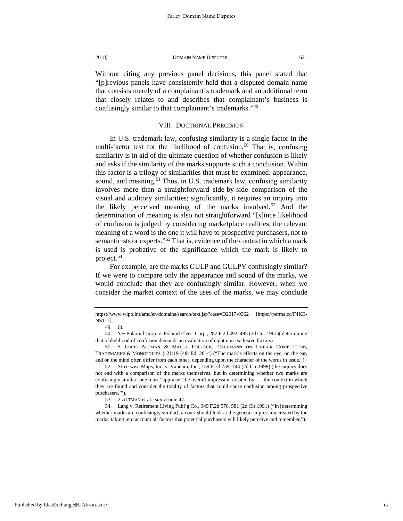Without citing any previous panel decisions, this panel stated that "[p]revious panels have consistently held that a disputed domain name that consists merely of a complainant's trademark and an additional term that closely relates to and describes that complainant's business is confusingly similar to that complainant's trademarks."[49](#page-15-0)

# VIII. DOCTRINAL PRECISION

In U.S. trademark law, confusing similarity is a single factor in the multi-factor test for the likelihood of confusion.<sup>[50](#page-15-1)</sup> That is, confusing similarity is in aid of the ultimate question of whether confusion is likely and asks if the similarity of the marks supports such a conclusion. Within this factor is a trilogy of similarities that must be examined: appearance, sound, and meaning.<sup>[51](#page-15-2)</sup> Thus, in U.S. trademark law, confusing similarity involves more than a straightforward side-by-side comparison of the visual and auditory similarities; significantly, it requires an inquiry into the likely perceived meaning of the marks involved.<sup>[52](#page-15-3)</sup> And the determination of meaning is also not straightforward "[s]ince likelihood of confusion is judged by considering marketplace realities, the relevant meaning of a word is the one it will have to prospective purchasers, not to semanticists or experts."<sup>[53](#page-15-4)</sup> That is, evidence of the context in which a mark is used is probative of the significance which the mark is likely to project.[54](#page-15-5)

For example, are the marks GULP and GULPY confusingly similar? If we were to compare only the appearance and sound of the marks, we would conclude that they are confusingly similar. However, when we consider the market context of the uses of the marks, we may conclude

<span id="page-15-1"></span><span id="page-15-0"></span>50. *See* Polaroid Corp. v. Polarad Elecs. Corp., 287 F.2d 492, 495 (2d Cir. 1961)( determining that a likelihood of confusion demands an evaluation of eight non-exclusive factors).

https://www.wipo.int/amc/en/domains/search/text.jsp?case=D2017-0362 [https://perma.cc/F4KE-NSTU].

<sup>49.</sup> *Id.*

<span id="page-15-2"></span><sup>51.</sup> 5 LOUIS ALTMAN & MALLA POLLACK, CALLMANN ON UNFAIR COMPETITION, TRADEMARKS & MONOPOLIES § 21:19 (4th Ed. 2014) ("The mark's effects on the eye, on the ear, and on the mind often differ from each other, depending upon the character of the words in issue.").

<span id="page-15-3"></span><sup>52.</sup> Streetwise Maps, Inc. v. Vandam, Inc*.,* 159 F.3d 739, 744 (2d Cir.1998) (the inquiry does not end with a comparison of the marks themselves, but in determining whether two marks are confusingly similar, one must "appraise 'the overall impression created by . . . the context in which they are found and consider the totality of factors that could cause confusion among prospective purchasers.'").

<sup>53.</sup> 2 ALTMAN et al., *supra* note 47.

<span id="page-15-5"></span><span id="page-15-4"></span><sup>54.</sup> Lang v. Retirement Living Publ'g Co*.,* 949 F.2d 576, 581 (2d Cir.1991) ("In [determining whether marks are confusingly similar], a court should look at the general impression created by the marks, taking into account all factors that potential purchasers will likely perceive and remember.").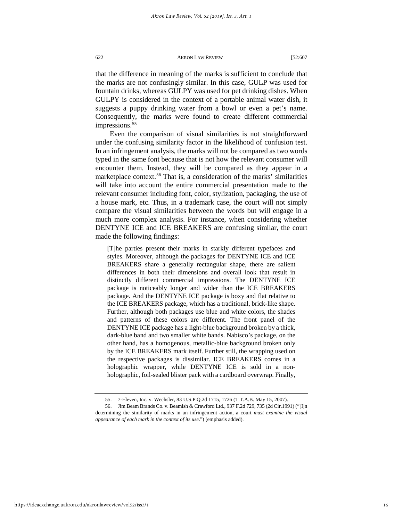that the difference in meaning of the marks is sufficient to conclude that the marks are not confusingly similar. In this case, GULP was used for fountain drinks, whereas GULPY was used for pet drinking dishes. When GULPY is considered in the context of a portable animal water dish, it suggests a puppy drinking water from a bowl or even a pet's name. Consequently, the marks were found to create different commercial impressions.<sup>[55](#page-16-0)</sup>

Even the comparison of visual similarities is not straightforward under the confusing similarity factor in the likelihood of confusion test. In an infringement analysis, the marks will not be compared as two words typed in the same font because that is not how the relevant consumer will encounter them. Instead, they will be compared as they appear in a marketplace context.<sup>[56](#page-16-1)</sup> That is, a consideration of the marks' similarities will take into account the entire commercial presentation made to the relevant consumer including font, color, stylization, packaging, the use of a house mark, etc. Thus, in a trademark case, the court will not simply compare the visual similarities between the words but will engage in a much more complex analysis. For instance, when considering whether DENTYNE ICE and ICE BREAKERS are confusing similar, the court made the following findings:

[T]he parties present their marks in starkly different typefaces and styles. Moreover, although the packages for DENTYNE ICE and ICE BREAKERS share a generally rectangular shape, there are salient differences in both their dimensions and overall look that result in distinctly different commercial impressions. The DENTYNE ICE package is noticeably longer and wider than the ICE BREAKERS package. And the DENTYNE ICE package is boxy and flat relative to the ICE BREAKERS package, which has a traditional, brick-like shape. Further, although both packages use blue and white colors, the shades and patterns of these colors are different. The front panel of the DENTYNE ICE package has a light-blue background broken by a thick, dark-blue band and two smaller white bands. Nabisco's package, on the other hand, has a homogenous, metallic-blue background broken only by the ICE BREAKERS mark itself. Further still, the wrapping used on the respective packages is dissimilar. ICE BREAKERS comes in a holographic wrapper, while DENTYNE ICE is sold in a nonholographic, foil-sealed blister pack with a cardboard overwrap. Finally,

<sup>55.</sup> 7-Eleven, Inc. v. Wechsler, 83 U.S.P.Q.2d 1715, 1726 (T.T.A.B. May 15, 2007).

<span id="page-16-1"></span><span id="page-16-0"></span><sup>56.</sup> Jim Beam Brands Co. v. Beamish & Crawford Ltd*.,* 937 F.2d 729, 735 (2d Cir.1991) ("[I]n determining the similarity of marks in an infringement action, a court *must examine the visual appearance of each mark in the context of its use*.") (emphasis added).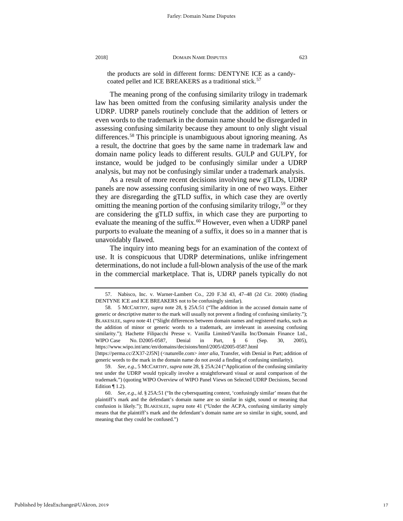the products are sold in different forms: DENTYNE ICE as a candy-coated pellet and ICE BREAKERS as a traditional stick.<sup>[57](#page-17-0)</sup>

The meaning prong of the confusing similarity trilogy in trademark law has been omitted from the confusing similarity analysis under the UDRP. UDRP panels routinely conclude that the addition of letters or even words to the trademark in the domain name should be disregarded in assessing confusing similarity because they amount to only slight visual differences.[58](#page-17-1) This principle is unambiguous about ignoring meaning. As a result, the doctrine that goes by the same name in trademark law and domain name policy leads to different results. GULP and GULPY, for instance, would be judged to be confusingly similar under a UDRP analysis, but may not be confusingly similar under a trademark analysis.

As a result of more recent decisions involving new gTLDs, UDRP panels are now assessing confusing similarity in one of two ways. Either they are disregarding the gTLD suffix, in which case they are overtly omitting the meaning portion of the confusing similarity trilogy,  $59$  or they are considering the gTLD suffix, in which case they are purporting to evaluate the meaning of the suffix.<sup>[60](#page-17-3)</sup> However, even when a UDRP panel purports to evaluate the meaning of a suffix, it does so in a manner that is unavoidably flawed.

The inquiry into meaning begs for an examination of the context of use. It is conspicuous that UDRP determinations, unlike infringement determinations, do not include a full-blown analysis of the use of the mark in the commercial marketplace. That is, UDRP panels typically do not

<span id="page-17-0"></span><sup>57.</sup> Nabisco, Inc. v. Warner-Lambert Co*.*, 220 F.3d 43, 47–48 (2d Cir. 2000) (finding DENTYNE ICE and ICE BREAKERS not to be confusingly similar).

<span id="page-17-1"></span><sup>58.</sup> 5 MCCARTHY, *supra* note 28, § 25A:51 ("The addition in the accused domain name of generic or descriptive matter to the mark will usually not prevent a finding of confusing similarity."); BLAKESLEE, *supra* note 41 ("Slight differences between domain names and registered marks, such as the addition of minor or generic words to a trademark, are irrelevant in assessing confusing similarity."); Hachette Filipacchi Presse v. Vanilla Limited/Vanilla Inc/Domain Finance Ltd*.*, WIPO Case No. D2005-0587, Denial in Part, § 6 (Sep. 30, 2005), https://www.wipo.int/amc/en/domains/decisions/html/2005/d2005-0587.html [https://perma.cc/ZX37-2J5N] (<naturelle.com> *inter alia*, Transfer, with Denial in Part; addition of

<span id="page-17-2"></span>generic words to the mark in the domain name do not avoid a finding of confusing similarity). 59. *See, e.g*., 5 MCCARTHY, *supra* note 28, § 25A:24 ("Application of the confusing similarity

test under the UDRP would typically involve a straightforward visual or aural comparison of the trademark.") (quoting WIPO Overview of WIPO Panel Views on Selected UDRP Decisions, Second Edition  $\P$  1.2).

<span id="page-17-3"></span><sup>60.</sup> *See, e.g*., *id.* § 25A:51 ("In the cybersquatting context, 'confusingly similar' means that the plaintiff's mark and the defendant's domain name are so similar in sight, sound or meaning that confusion is likely."); BLAKESLEE, *supra* note 41 ("Under the ACPA, confusing similarity simply means that the plaintiff's mark and the defendant's domain name are so similar in sight, sound, and meaning that they could be confused.")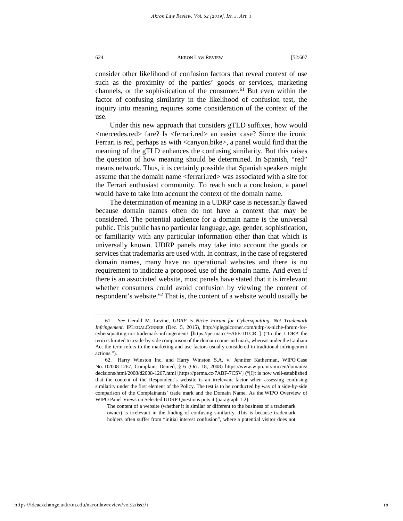consider other likelihood of confusion factors that reveal context of use such as the proximity of the parties' goods or services, marketing channels, or the sophistication of the consumer.<sup>[61](#page-18-0)</sup> But even within the factor of confusing similarity in the likelihood of confusion test, the inquiry into meaning requires some consideration of the context of the use.

Under this new approach that considers gTLD suffixes, how would <mercedes.red> fare? Is <ferrari.red> an easier case? Since the iconic Ferrari is red, perhaps as with <canyon.bike>, a panel would find that the meaning of the gTLD enhances the confusing similarity. But this raises the question of how meaning should be determined. In Spanish, "red" means network. Thus, it is certainly possible that Spanish speakers might assume that the domain name <ferrari.red> was associated with a site for the Ferrari enthusiast community. To reach such a conclusion, a panel would have to take into account the context of the domain name.

The determination of meaning in a UDRP case is necessarily flawed because domain names often do not have a context that may be considered. The potential audience for a domain name is the universal public. This public has no particular language, age, gender, sophistication, or familiarity with any particular information other than that which is universally known. UDRP panels may take into account the goods or services that trademarks are used with. In contrast, in the case of registered domain names, many have no operational websites and there is no requirement to indicate a proposed use of the domain name. And even if there is an associated website, most panels have stated that it is irrelevant whether consumers could avoid confusion by viewing the content of respondent's website. $62$  That is, the content of a website would usually be

The content of a website (whether it is similar or different to the business of a trademark owner) is irrelevant in the finding of confusing similarity. This is because trademark holders often suffer from "initial interest confusion", where a potential visitor does not

<span id="page-18-0"></span><sup>61.</sup> *See* Gerald M. Levine, *UDRP is Niche Forum for Cybersquatting, Not Trademark Infringement,* IPLEGALCORNER (Dec. 5, 2015), http://iplegalcorner.com/udrp-is-niche-forum-forcybersquatting-not-trademark-infringement/ [https://perma.cc/FA6E-DTCR ] ("In the UDRP the term is limited to a side-by-side comparison of the domain name and mark, whereas under the Lanham Act the term refers to the marketing and use factors usually considered in traditional infringement actions.").

<span id="page-18-1"></span><sup>62.</sup> Harry Winston Inc. and Harry Winston S.A. v. Jennifer Katherman, WIPO Case No. D2008-1267, Complaint Denied, § 6 (Oct. 18, 2008) https://www.wipo.int/amc/en/domains/ decisions/html/2008/d2008-1267.html [https://perma.cc/7ABF-7CSV] ("[I]t is now well-established that the content of the Respondent's website is an irrelevant factor when assessing confusing similarity under the first element of the Policy. The test is to be conducted by way of a side-by-side comparison of the Complainants' trade mark and the Domain Name. As the WIPO Overview of WIPO Panel Views on Selected UDRP Questions puts it (paragraph 1.2):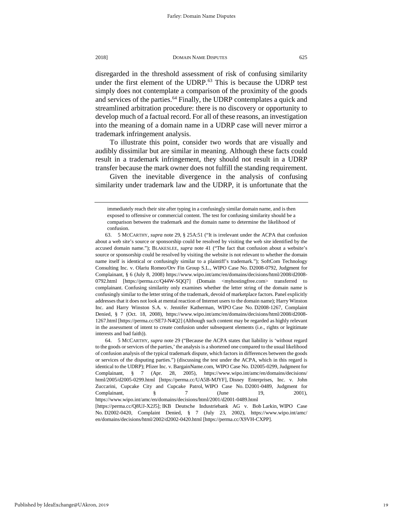disregarded in the threshold assessment of risk of confusing similarity under the first element of the UDRP.<sup>[63](#page-19-0)</sup> This is because the UDRP test simply does not contemplate a comparison of the proximity of the goods and services of the parties.<sup>[64](#page-19-1)</sup> Finally, the UDRP contemplates a quick and streamlined arbitration procedure: there is no discovery or opportunity to develop much of a factual record. For all of these reasons, an investigation into the meaning of a domain name in a UDRP case will never mirror a trademark infringement analysis.

To illustrate this point, consider two words that are visually and audibly dissimilar but are similar in meaning. Although these facts could result in a trademark infringement, they should not result in a UDRP transfer because the mark owner does not fulfill the standing requirement.

Given the inevitable divergence in the analysis of confusing similarity under trademark law and the UDRP, it is unfortunate that the

immediately reach their site after typing in a confusingly similar domain name, and is then exposed to offensive or commercial content. The test for confusing similarity should be a comparison between the trademark and the domain name to determine the likelihood of confusion.

<span id="page-19-0"></span><sup>63.</sup> 5 MCCARTHY, *supra* note 29, § 25A:51 ("It is irrelevant under the ACPA that confusion about a web site's source or sponsorship could be resolved by visiting the web site identified by the accused domain name."); BLAKESLEE, *supra* note 41 ("The fact that confusion about a website's source or sponsorship could be resolved by visiting the website is not relevant to whether the domain name itself is identical or confusingly similar to a plaintiff's trademark."); SoftCom Technology Consulting Inc. v. Olariu Romeo/Orv Fin Group S.L., WIPO Case No. D2008-0792, Judgment for Complainant, § 6 (July 8, 2008) https://www.wipo.int/amc/en/domains/decisions/html/2008/d2008- 0792.html [https://perma.cc/Q44W-SQQ7] (Domain <myhostingfree.com> transferred to complainant. Confusing similarity only examines whether the letter string of the domain name is confusingly similar to the letter string of the trademark, devoid of marketplace factors. Panel explicitly addresses that it does not look at mental reaction of Internet users to the domain name); Harry Winston Inc. and Harry Winston S.A. v. Jennifer Katherman, WIPO Case No. D2008-1267, Complaint Denied, § 7 (Oct. 18, 2008), https://www.wipo.int/amc/en/domains/decisions/html/2008/d2008- 1267.html [https://perma.cc/SE7J-N4Q2] (Although such content may be regarded as highly relevant in the assessment of intent to create confusion under subsequent elements (i.e., rights or legitimate interests and bad faith)).

<span id="page-19-1"></span><sup>64.</sup> 5 MCCARTHY, *supra* note 29 ("Because the ACPA states that liability is 'without regard to the goods or services of the parties,' the analysis is a shortened one compared to the usual likelihood of confusion analysis of the typical trademark dispute, which factors in differences between the goods or services of the disputing parties.") (discussing the test under the ACPA, which in this regard is identical to the UDRP); Pfizer Inc. v. BargainName.com*,* WIPO Case No. D2005-0299, Judgment for Complainant, § 7 (Apr. 28, 2005), https://www.wipo.int/amc/en/domains/decisions/ html/2005/d2005-0299.html [https://perma.cc/UA5B-MJYF], Disney Enterprises, Inc. v. John Zuccarini, Cupcake City and Cupcake Patrol, WIPO Case No. D2001-0489, Judgment for Complainant,  $\S$  7 (June 19, 2001), https://www.wipo.int/amc/en/domains/decisions/html/2001/d2001-0489.html [https://perma.cc/Q8UJ-X2J5]; IKB Deutsche Industriebank AG v. Bob Larkin, WIPO Case No. D2002-0420, Complaint Denied, § 7 (July 23, 2002), https://www.wipo.int/amc/

en/domains/decisions/html/2002/d2002-0420.html [https://perma.cc/X9VH-CXPP].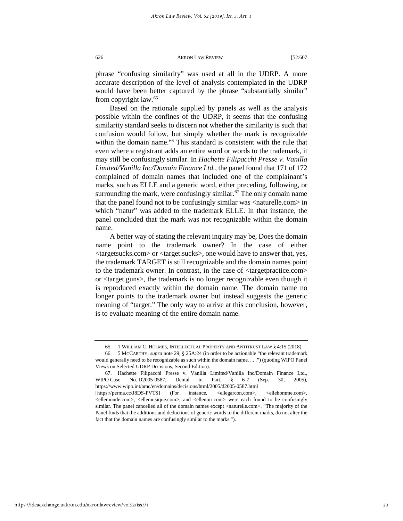phrase "confusing similarity" was used at all in the UDRP. A more accurate description of the level of analysis contemplated in the UDRP would have been better captured by the phrase "substantially similar" from copyright law.[65](#page-20-0)

Based on the rationale supplied by panels as well as the analysis possible within the confines of the UDRP, it seems that the confusing similarity standard seeks to discern not whether the similarity is such that confusion would follow, but simply whether the mark is recognizable within the domain name.<sup>[66](#page-20-1)</sup> This standard is consistent with the rule that even where a registrant adds an entire word or words to the trademark, it may still be confusingly similar. In *Hachette Filipacchi Presse v. Vanilla Limited/Vanilla Inc/Domain Finance Ltd.*, the panel found that 171 of 172 complained of domain names that included one of the complainant's marks, such as ELLE and a generic word, either preceding, following, or surrounding the mark, were confusingly similar.<sup>[67](#page-20-2)</sup> The only domain name that the panel found not to be confusingly similar was <naturelle.com> in which "natur" was added to the trademark ELLE. In that instance, the panel concluded that the mark was not recognizable within the domain name.

A better way of stating the relevant inquiry may be, Does the domain name point to the trademark owner? In the case of either <targetsucks.com> or <target.sucks>, one would have to answer that, yes, the trademark TARGET is still recognizable and the domain names point to the trademark owner. In contrast, in the case of <targetpractice.com> or <target.guns>, the trademark is no longer recognizable even though it is reproduced exactly within the domain name. The domain name no longer points to the trademark owner but instead suggests the generic meaning of "target." The only way to arrive at this conclusion, however, is to evaluate meaning of the entire domain name.

<sup>65.</sup> 1 WILLIAM C. HOLMES, INTELLECTUAL PROPERTY AND ANTITRUST LAW § 4:15 (2018).

<span id="page-20-1"></span><span id="page-20-0"></span><sup>66.</sup> 5 MCCARTHY, *supra* note 29, § 25A:24 (in order to be actionable "the relevant trademark would generally need to be recognizable as such within the domain name. . . .") (quoting WIPO Panel Views on Selected UDRP Decisions, Second Edition).

<span id="page-20-2"></span><sup>67.</sup> Hachette Filipacchi Presse v. Vanilla Limited/Vanilla Inc/Domain Finance Ltd., WIPO Case No. D2005-0587, Denial in Part, § 6-7 (Sep. 30, 2005), https://www.wipo.int/amc/en/domains/decisions/html/2005/d2005-0587.html [https://perma.cc/J8DS-PVTS] (For instance, <ellegarcon.com>, <ellehomme.com>, <ellemonde.com>, <ellemusique.com>, and <ellenoir.com> were each found to be confusingly similar. The panel cancelled all of the domain names except <naturelle.com>. "The majority of the Panel finds that the additions and deductions of generic words to the different marks, do not alter the fact that the domain names are confusingly similar to the marks.").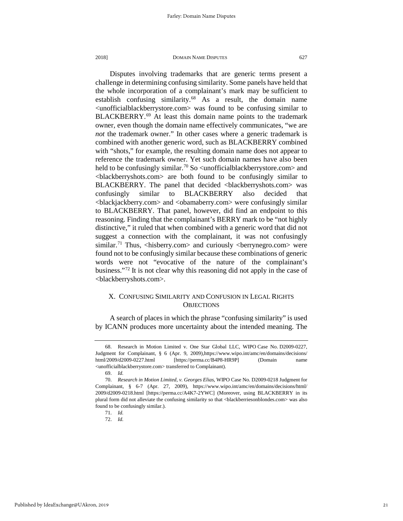Disputes involving trademarks that are generic terms present a challenge in determining confusing similarity. Some panels have held that the whole incorporation of a complainant's mark may be sufficient to establish confusing similarity.[68](#page-21-0) As a result, the domain name <unofficialblackberrystore.com> was found to be confusing similar to BLACKBERRY.<sup>[69](#page-21-1)</sup> At least this domain name points to the trademark owner, even though the domain name effectively communicates, "we are *not* the trademark owner." In other cases where a generic trademark is combined with another generic word, such as BLACKBERRY combined with "shots," for example, the resulting domain name does not appear to reference the trademark owner. Yet such domain names have also been held to be confusingly similar.<sup>[70](#page-21-2)</sup> So  $\leq$ unofficialblackberrystore.com $>$  and <blackberryshots.com> are both found to be confusingly similar to BLACKBERRY. The panel that decided <blackberryshots.com> was confusingly similar to BLACKBERRY also decided that <blackjackberry.com> and <obamaberry.com> were confusingly similar to BLACKBERRY. That panel, however, did find an endpoint to this reasoning. Finding that the complainant's BERRY mark to be "not highly distinctive," it ruled that when combined with a generic word that did not suggest a connection with the complainant, it was not confusingly similar.<sup>[71](#page-21-3)</sup> Thus,  $\langle$ hisberry.com> and curiously  $\langle$ berrynegro.com> were found not to be confusingly similar because these combinations of generic words were not "evocative of the nature of the complainant's business."[72](#page-21-4) It is not clear why this reasoning did not apply in the case of <blackberryshots.com>.

# X. CONFUSING SIMILARITY AND CONFUSION IN LEGAL RIGHTS **OBJECTIONS**

A search of places in which the phrase "confusing similarity" is used by ICANN produces more uncertainty about the intended meaning. The

<span id="page-21-0"></span><sup>68.</sup> Research in Motion Limited v. One Star Global LLC, WIPO Case No. D2009-0227, Judgment for Complainant, § 6 (Apr. 9, 2009),https://www.wipo.int/amc/en/domains/decisions/ html/2009/d2009-0227.html [https://perma.cc/B4P8-HR9P] (Domain name <unofficialblackberrystore.com> transferred to Complainant).

<sup>69.</sup> *Id.*

<span id="page-21-4"></span><span id="page-21-3"></span><span id="page-21-2"></span><span id="page-21-1"></span><sup>70.</sup> *Research in Motion Limited, v. Georges Elias*, WIPO Case No. D2009-0218 Judgment for Complainant, § 6-7 (Apr. 27, 2009), https://www.wipo.int/amc/en/domains/decisions/html/ 2009/d2009-0218.html [https://perma.cc/A4K7-2YWC] (Moreover, using BLACKBERRY in its plural form did not alleviate the confusing similarity so that <blackberriesonblondes.com> was also found to be confusingly similar.).

<sup>71.</sup> *Id.* 72. *Id.*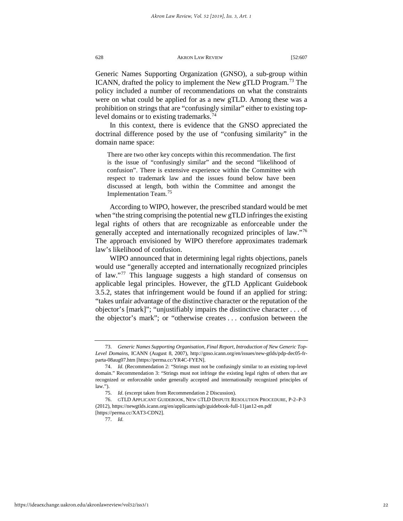Generic Names Supporting Organization (GNSO), a sub-group within ICANN, drafted the policy to implement the New gTLD Program.<sup>[73](#page-22-0)</sup> The policy included a number of recommendations on what the constraints were on what could be applied for as a new gTLD. Among these was a prohibition on strings that are "confusingly similar" either to existing top-level domains or to existing trademarks.<sup>[74](#page-22-1)</sup>

In this context, there is evidence that the GNSO appreciated the doctrinal difference posed by the use of "confusing similarity" in the domain name space:

There are two other key concepts within this recommendation. The first is the issue of "confusingly similar" and the second "likelihood of confusion". There is extensive experience within the Committee with respect to trademark law and the issues found below have been discussed at length, both within the Committee and amongst the Implementation Team.[75](#page-22-2)

According to WIPO, however, the prescribed standard would be met when "the string comprising the potential new gTLD infringes the existing legal rights of others that are recognizable as enforceable under the generally accepted and internationally recognized principles of law."[76](#page-22-3) The approach envisioned by WIPO therefore approximates trademark law's likelihood of confusion.

WIPO announced that in determining legal rights objections, panels would use "generally accepted and internationally recognized principles of law."[77](#page-22-4) This language suggests a high standard of consensus on applicable legal principles. However, the gTLD Applicant Guidebook 3.5.2, states that infringement would be found if an applied for string: "takes unfair advantage of the distinctive character or the reputation of the objector's [mark]"; "unjustifiably impairs the distinctive character . . . of the objector's mark"; or "otherwise creates . . . confusion between the

<span id="page-22-0"></span><sup>73.</sup> *Generic Names Supporting Organisation, Final Report, Introduction of New Generic Top-Level Domains*, ICANN (August 8, 2007), http://gnso.icann.org/en/issues/new-gtlds/pdp-dec05-frparta-08aug07.htm [https://perma.cc/YR4C-FYEN].

<span id="page-22-1"></span><sup>74.</sup> *Id.* (Recommendation 2: "Strings must not be confusingly similar to an existing top-level domain." Recommendation 3: "Strings must not infringe the existing legal rights of others that are recognized or enforceable under generally accepted and internationally recognized principles of law.").

<sup>75.</sup> *Id*. (excerpt taken from Recommendation 2 Discussion).

<span id="page-22-4"></span><span id="page-22-3"></span><span id="page-22-2"></span><sup>76.</sup> GTLD APPLICANT GUIDEBOOK, NEW GTLD DISPUTE RESOLUTION PROCEDURE, P-2–P-3 (2012), https://newgtlds.icann.org/en/applicants/agb/guidebook-full-11jan12-en.pdf [https://perma.cc/XAT3-CDN2].

<sup>77.</sup> *Id.*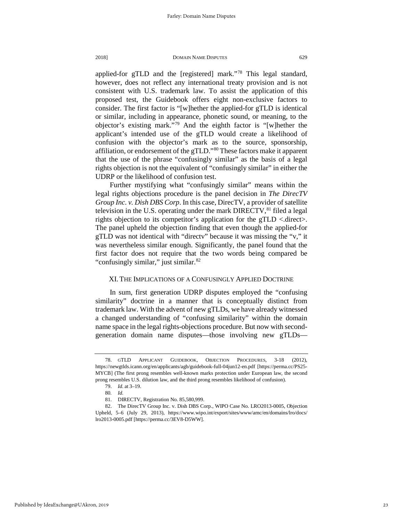applied-for gTLD and the [registered] mark."[78](#page-23-0) This legal standard, however, does not reflect any international treaty provision and is not consistent with U.S. trademark law. To assist the application of this proposed test, the Guidebook offers eight non-exclusive factors to consider. The first factor is "[w]hether the applied-for gTLD is identical or similar, including in appearance, phonetic sound, or meaning, to the objector's existing mark."[79](#page-23-1) And the eighth factor is "[w]hether the applicant's intended use of the gTLD would create a likelihood of confusion with the objector's mark as to the source, sponsorship, affiliation, or endorsement of the gTLD."[80](#page-23-2) These factors make it apparent that the use of the phrase "confusingly similar" as the basis of a legal rights objection is not the equivalent of "confusingly similar" in either the UDRP or the likelihood of confusion test.

Further mystifying what "confusingly similar" means within the legal rights objections procedure is the panel decision in *The DirecTV Group Inc. v. Dish DBS Corp*. In this case, DirecTV, a provider of satellite television in the U.S. operating under the mark  $DIRECTV$ ,<sup>[81](#page-23-3)</sup> filed a legal rights objection to its competitor's application for the gTLD <.direct>. The panel upheld the objection finding that even though the applied-for gTLD was not identical with "directv" because it was missing the "v," it was nevertheless similar enough. Significantly, the panel found that the first factor does not require that the two words being compared be "confusingly similar," just similar. $82$ 

# XI. THE IMPLICATIONS OF A CONFUSINGLY APPLIED DOCTRINE

In sum, first generation UDRP disputes employed the "confusing similarity" doctrine in a manner that is conceptually distinct from trademark law. With the advent of new gTLDs, we have already witnessed a changed understanding of "confusing similarity" within the domain name space in the legal rights-objections procedure. But now with secondgeneration domain name disputes—those involving new gTLDs—

<span id="page-23-0"></span><sup>78.</sup> GTLD APPLICANT GUIDEBOOK, OBJECTION PROCEDURES, 3-18 (2012), https://newgtlds.icann.org/en/applicants/agb/guidebook-full-04jun12-en.pdf [https://perma.cc/PS25- MYCB] (The first prong resembles well-known marks protection under European law, the second prong resembles U.S. dilution law, and the third prong resembles likelihood of confusion).

<sup>79.</sup> *Id.* at 3–19.

<sup>80</sup>*. Id.*

<sup>81.</sup> DIRECTV, Registration No. 85,580,999.

<span id="page-23-4"></span><span id="page-23-3"></span><span id="page-23-2"></span><span id="page-23-1"></span><sup>82.</sup> The DirecTV Group Inc. v. Dish DBS Corp., WIPO Case No. LRO2013-0005, Objection Upheld, 5–6 (July 29, 2013), https://www.wipo.int/export/sites/www/amc/en/domains/lro/docs/ lro2013-0005.pdf [https://perma.cc/3EV8-D5WW].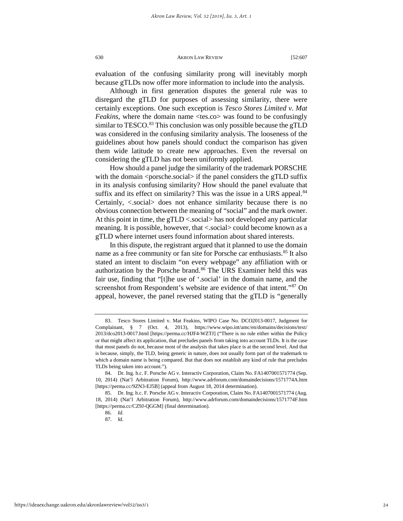evaluation of the confusing similarity prong will inevitably morph because gTLDs now offer more information to include into the analysis.

Although in first generation disputes the general rule was to disregard the gTLD for purposes of assessing similarity, there were certainly exceptions. One such exception is *Tesco Stores Limited v. Mat Feakins*, where the domain name <tes.co> was found to be confusingly similar to TESCO.<sup>[83](#page-24-0)</sup> This conclusion was only possible because the gTLD was considered in the confusing similarity analysis. The looseness of the guidelines about how panels should conduct the comparison has given them wide latitude to create new approaches. Even the reversal on considering the gTLD has not been uniformly applied.

How should a panel judge the similarity of the trademark PORSCHE with the domain  $\langle$  porsche.social $>$  if the panel considers the gTLD suffix in its analysis confusing similarity? How should the panel evaluate that suffix and its effect on similarity? This was the issue in a URS appeal.<sup>[84](#page-24-1)</sup> Certainly, <.social> does not enhance similarity because there is no obvious connection between the meaning of "social" and the mark owner. At this point in time, the gTLD <.social> has not developed any particular meaning. It is possible, however, that < social> could become known as a gTLD where internet users found information about shared interests.

In this dispute, the registrant argued that it planned to use the domain name as a free community or fan site for Porsche car enthusiasts.<sup>[85](#page-24-2)</sup> It also stated an intent to disclaim "on every webpage" any affiliation with or authorization by the Porsche brand.<sup>[86](#page-24-3)</sup> The URS Examiner held this was fair use, finding that "[t]he use of '.social' in the domain name, and the screenshot from Respondent's website are evidence of that intent."<sup>[87](#page-24-4)</sup> On appeal, however, the panel reversed stating that the gTLD is "generally

<span id="page-24-0"></span><sup>83.</sup> Tesco Stores Limited v. Mat Feakins, WIPO Case No. DCO2013-0017, Judgment for Complainant, § 7 (Oct. 4, 2013), https://www.wipo.int/amc/en/domains/decisions/text/ 2013/dco2013-0017.html [https://perma.cc/HJF4-WZTJ] ("There is no rule either within the Policy or that might affect its application, that precludes panels from taking into account TLDs. It is the case that most panels do not, because most of the analysis that takes place is at the second level. And that is because, simply, the TLD, being generic in nature, does not usually form part of the trademark to which a domain name is being compared. But that does not establish any kind of rule that precludes TLDs being taken into account.").

<span id="page-24-1"></span><sup>84.</sup> Dr. Ing. h.c. F. Porsche AG v. Interactiv Corporation, Claim No. FA1407001571774 (Sep. 10, 2014) (Nat'l Arbitration Forum), http://www.adrforum.com/domaindecisions/1571774A.htm [https://perma.cc/9ZN3-EJ5B] (appeal from August 18, 2014 determination).

<span id="page-24-4"></span><span id="page-24-3"></span><span id="page-24-2"></span><sup>85.</sup> Dr. Ing. h.c. F. Porsche AG v. Interactiv Corporation, Claim No. FA1407001571774 (Aug. 18, 2014) (Nat'l Arbitration Forum), http://www.adrforum.com/domaindecisions/1571774F.htm [https://perma.cc/CZ9J-QGGM] (final determination).

<sup>86.</sup> *Id*. 87. Id.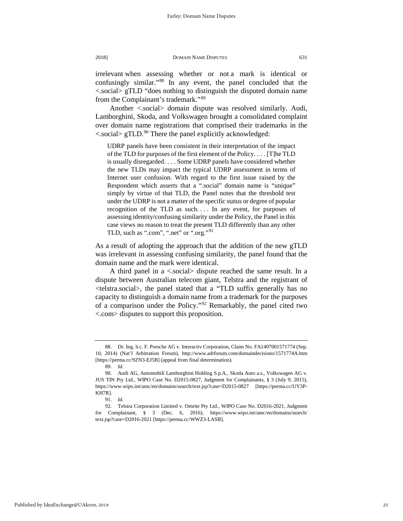irrelevant when assessing whether or not a mark is identical or confusingly similar."[88](#page-25-0) In any event, the panel concluded that the <.social> gTLD "does nothing to distinguish the disputed domain name from the Complainant's trademark."[89](#page-25-1)

Another <.social> domain dispute was resolved similarly. Audi, Lamborghini, Skoda, and Volkswagen brought a consolidated complaint over domain name registrations that comprised their trademarks in the  $\langle$  social> gTLD.<sup>[90](#page-25-2)</sup> There the panel explicitly acknowledged:

UDRP panels have been consistent in their interpretation of the impact of the TLD for purposes of the first element of the Policy. . . . [T]he TLD is usually disregarded. . . . Some UDRP panels have considered whether the new TLDs may impact the typical UDRP assessment in terms of Internet user confusion. With regard to the first issue raised by the Respondent which asserts that a ".social" domain name is "unique" simply by virtue of that TLD, the Panel notes that the threshold test under the UDRP is not a matter of the specific status or degree of popular recognition of the TLD as such.... In any event, for purposes of assessing identity/confusing similarity under the Policy, the Panel in this case views no reason to treat the present TLD differently than any other TLD, such as ".com", ".net" or ".org."<sup>[91](#page-25-3)</sup>

As a result of adopting the approach that the addition of the new gTLD was irrelevant in assessing confusing similarity, the panel found that the domain name and the mark were identical.

A third panel in a <.social> dispute reached the same result. In a dispute between Australian telecom giant, Telstra and the registrant of <telstra.social>, the panel stated that a "TLD suffix generally has no capacity to distinguish a domain name from a trademark for the purposes of a comparison under the Policy."[92](#page-25-4) Remarkably, the panel cited two <.com> disputes to support this proposition.

<span id="page-25-0"></span><sup>88.</sup> Dr. Ing. h.c. F. Porsche AG v. Interactiv Corporation, Claim No. FA1407001571774 (Sep. 10, 2014) (Nat'l Arbitration Forum), http://www.adrforum.com/domaindecisions/1571774A.htm [https://perma.cc/9ZN3-EJ5B] (appeal from final determination).

<sup>89.</sup> *Id.*

<span id="page-25-2"></span><span id="page-25-1"></span><sup>90.</sup> Audi AG, Automobili Lamborghini Holding S.p.A., Skoda Auto a.s., Volkswagen AG v. JUS TIN Pty Ltd., WIPO Case No. D2015-0827, Judgment for Complainants, § 3 (July 9, 2015), https://www.wipo.int/amc/en/domains/search/text.jsp?case=D2015-0827 [https://perma.cc/UY3P-KH7R].

<sup>91.</sup> *Id.*

<span id="page-25-4"></span><span id="page-25-3"></span><sup>92.</sup> Telstra Corporation Limited v. Omrite Pty Ltd., WIPO Case No. D2016-2021, Judgment for Complainant, § 3 (Dec. 6, 2016), https://www.wipo.int/amc/en/domains/search/ text.jsp?case=D2016-2021 [https://perma.cc/WWZ3-LASB].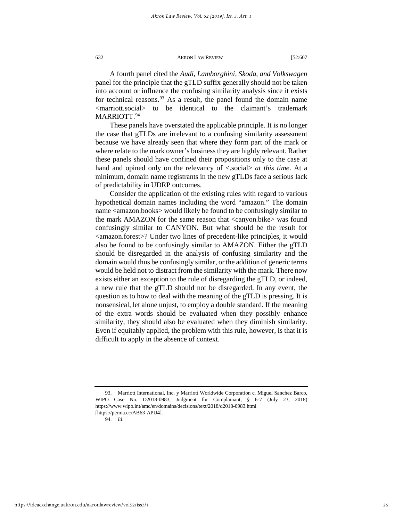A fourth panel cited the *Audi, Lamborghini, Skoda, and Volkswagen*  panel for the principle that the gTLD suffix generally should not be taken into account or influence the confusing similarity analysis since it exists for technical reasons.  $93$  As a result, the panel found the domain name <marriott.social> to be identical to the claimant's trademark MARRIOTT.<sup>[94](#page-26-1)</sup>

These panels have overstated the applicable principle. It is no longer the case that gTLDs are irrelevant to a confusing similarity assessment because we have already seen that where they form part of the mark or where relate to the mark owner's business they are highly relevant. Rather these panels should have confined their propositions only to the case at hand and opined only on the relevancy of <.social> *at this time*. At a minimum, domain name registrants in the new gTLDs face a serious lack of predictability in UDRP outcomes.

Consider the application of the existing rules with regard to various hypothetical domain names including the word "amazon." The domain name <amazon.books> would likely be found to be confusingly similar to the mark AMAZON for the same reason that <canyon.bike> was found confusingly similar to CANYON. But what should be the result for <amazon.forest>? Under two lines of precedent-like principles, it would also be found to be confusingly similar to AMAZON. Either the gTLD should be disregarded in the analysis of confusing similarity and the domain would thus be confusingly similar, or the addition of generic terms would be held not to distract from the similarity with the mark. There now exists either an exception to the rule of disregarding the gTLD, or indeed, a new rule that the gTLD should not be disregarded. In any event, the question as to how to deal with the meaning of the gTLD is pressing. It is nonsensical, let alone unjust, to employ a double standard. If the meaning of the extra words should be evaluated when they possibly enhance similarity, they should also be evaluated when they diminish similarity. Even if equitably applied, the problem with this rule, however, is that it is difficult to apply in the absence of context.

94. *Id*.

<span id="page-26-1"></span><span id="page-26-0"></span><sup>93.</sup> Marriott International, Inc. y Marriott Worldwide Corporation c. Miguel Sanchez Barco, WIPO Case No. D2018-0983, Judgment for Complainant, § 6-7 (July 23, 2018) https://www.wipo.int/amc/en/domains/decisions/text/2018/d2018-0983.html [https://perma.cc/AB63-APU4].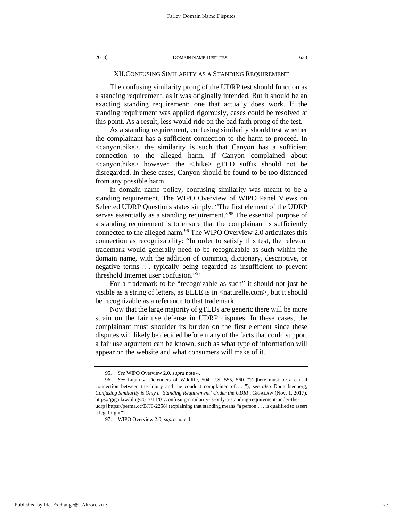# XII.CONFUSING SIMILARITY AS A STANDING REQUIREMENT

The confusing similarity prong of the UDRP test should function as a standing requirement, as it was originally intended. But it should be an exacting standing requirement; one that actually does work. If the standing requirement was applied rigorously, cases could be resolved at this point. As a result, less would ride on the bad faith prong of the test.

As a standing requirement, confusing similarity should test whether the complainant has a sufficient connection to the harm to proceed. In <canyon.bike>, the similarity is such that Canyon has a sufficient connection to the alleged harm. If Canyon complained about <canyon.hike> however, the <.hike> gTLD suffix should not be disregarded. In these cases, Canyon should be found to be too distanced from any possible harm.

In domain name policy, confusing similarity was meant to be a standing requirement. The WIPO Overview of WIPO Panel Views on Selected UDRP Questions states simply: "The first element of the UDRP serves essentially as a standing requirement."<sup>[95](#page-27-0)</sup> The essential purpose of a standing requirement is to ensure that the complainant is sufficiently connected to the alleged harm.<sup>[96](#page-27-1)</sup> The WIPO Overview 2.0 articulates this connection as recognizability: "In order to satisfy this test, the relevant trademark would generally need to be recognizable as such within the domain name, with the addition of common, dictionary, descriptive, or negative terms . . . typically being regarded as insufficient to prevent threshold Internet user confusion."[97](#page-27-2)

For a trademark to be "recognizable as such" it should not just be visible as a string of letters, as ELLE is in <naturelle.com>, but it should be recognizable as a reference to that trademark.

Now that the large majority of gTLDs are generic there will be more strain on the fair use defense in UDRP disputes. In these cases, the complainant must shoulder its burden on the first element since these disputes will likely be decided before many of the facts that could support a fair use argument can be known, such as what type of information will appear on the website and what consumers will make of it.

<sup>95.</sup> *See* WIPO Overview 2.0, *supra* note 4.

<span id="page-27-2"></span><span id="page-27-1"></span><span id="page-27-0"></span><sup>96.</sup> *See* Lujan v. Defenders of Wildlife, 504 U.S. 555, 560 ("[T]here must be a causal connection between the injury and the conduct complained of. . . ."); *see also* Doug Isenberg, *Confusing Similarity is Only a 'Standing Requirement' Under the UDRP*, GIGALAW (Nov. 1, 2017), https://giga.law/blog/2017/11/01/confusing-similarity-is-only-a-standing-requirement-under-theudrp [https://perma.cc/BJJ6-2258] (explaining that standing means "a person . . . is qualified to assert a legal right").

<sup>97.</sup> WIPO Overview 2.0, *supra* note 4.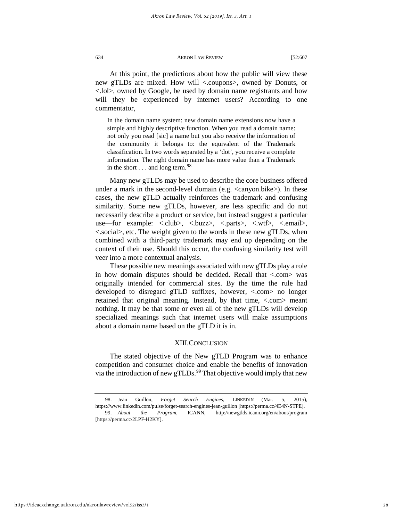At this point, the predictions about how the public will view these new gTLDs are mixed. How will <.coupons>, owned by Donuts, or <.lol>, owned by Google, be used by domain name registrants and how will they be experienced by internet users? According to one commentator,

In the domain name system: new domain name extensions now have a simple and highly descriptive function. When you read a domain name: not only you read [sic] a name but you also receive the information of the community it belongs to: the equivalent of the Trademark classification. In two words separated by a 'dot', you receive a complete information. The right domain name has more value than a Trademark in the short  $\dots$  and long term.<sup>[98](#page-28-0)</sup>

Many new gTLDs may be used to describe the core business offered under a mark in the second-level domain (e.g. <canyon.bike>). In these cases, the new gTLD actually reinforces the trademark and confusing similarity. Some new gTLDs, however, are less specific and do not necessarily describe a product or service, but instead suggest a particular use—for example: <.club>, <.buzz>, <.parts>, <.wtf>, <.email>, <.social>, etc. The weight given to the words in these new gTLDs, when combined with a third-party trademark may end up depending on the context of their use. Should this occur, the confusing similarity test will veer into a more contextual analysis.

These possible new meanings associated with new gTLDs play a role in how domain disputes should be decided. Recall that <.com> was originally intended for commercial sites. By the time the rule had developed to disregard gTLD suffixes, however, <.com> no longer retained that original meaning. Instead, by that time, <.com> meant nothing. It may be that some or even all of the new gTLDs will develop specialized meanings such that internet users will make assumptions about a domain name based on the gTLD it is in.

# XIII.CONCLUSION

The stated objective of the New gTLD Program was to enhance competition and consumer choice and enable the benefits of innovation via the introduction of new gTLDs.<sup>[99](#page-28-1)</sup> That objective would imply that new

<span id="page-28-1"></span><span id="page-28-0"></span><sup>98.</sup> Jean Guillon, *Forget Search Engines*, LINKEDIN (Mar. 5, 2015), <https://www.linkedin.com/pulse/forget-search-engines-jean-guillon> [https://perma.cc/4E4N-STPE]. 99. *About the Program*, ICANN, http://newgtlds.icann.org/en/about/program [https://perma.cc/2LPF-H2KY].